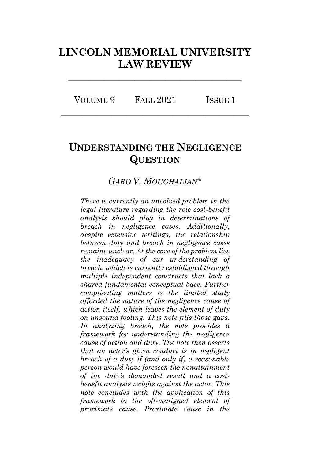# **LINCOLN MEMORIAL UNIVERSITY LAW REVIEW**

**\_\_\_\_\_\_\_\_\_\_\_\_\_\_\_\_\_\_\_\_\_\_\_\_\_\_\_\_\_\_\_\_\_\_**

VOLUME 9 FALL 2021 ISSUE 1 **\_\_\_\_\_\_\_\_\_\_\_\_\_\_\_\_\_\_\_\_\_\_\_\_\_\_\_\_\_\_\_\_\_\_\_\_\_**

# **UNDERSTANDING THE NEGLIGENCE QUESTION**

## *GARO V. MOUGHALIAN\**

*There is currently an unsolved problem in the legal literature regarding the role cost-benefit analysis should play in determinations of breach in negligence cases. Additionally, despite extensive writings, the relationship between duty and breach in negligence cases remains unclear. At the core of the problem lies the inadequacy of our understanding of breach, which is currently established through multiple independent constructs that lack a shared fundamental conceptual base. Further complicating matters is the limited study afforded the nature of the negligence cause of action itself, which leaves the element of duty on unsound footing. This note fills those gaps. In analyzing breach, the note provides a framework for understanding the negligence cause of action and duty. The note then asserts that an actor's given conduct is in negligent breach of a duty if (and only if) a reasonable person would have foreseen the nonattainment of the duty's demanded result and a costbenefit analysis weighs against the actor. This note concludes with the application of this framework to the oft-maligned element of proximate cause. Proximate cause in the*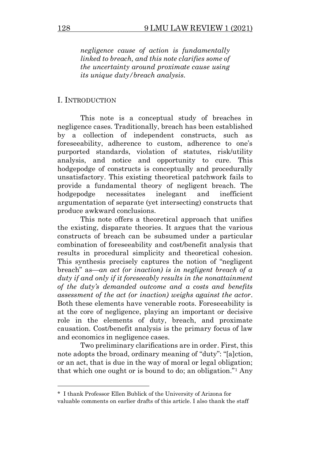*negligence cause of action is fundamentally linked to breach, and this note clarifies some of the uncertainty around proximate cause using its unique duty/breach analysis.*

## I. INTRODUCTION

This note is a conceptual study of breaches in negligence cases. Traditionally, breach has been established by a collection of independent constructs, such as foreseeability, adherence to custom, adherence to one's purported standards, violation of statutes, risk/utility analysis, and notice and opportunity to cure. This hodgepodge of constructs is conceptually and procedurally unsatisfactory. This existing theoretical patchwork fails to provide a fundamental theory of negligent breach. The hodgepodge necessitates inelegant and inefficient argumentation of separate (yet intersecting) constructs that produce awkward conclusions.

This note offers a theoretical approach that unifies the existing, disparate theories. It argues that the various constructs of breach can be subsumed under a particular combination of foreseeability and cost/benefit analysis that results in procedural simplicity and theoretical cohesion. This synthesis precisely captures the notion of "negligent breach" as—*an act (or inaction) is in negligent breach of a duty if and only if it foreseeably results in the nonattainment of the duty's demanded outcome and a costs and benefits assessment of the act (or inaction) weighs against the actor*. Both these elements have venerable roots. Foreseeability is at the core of negligence, playing an important or decisive role in the elements of duty, breach, and proximate causation. Cost/benefit analysis is the primary focus of law and economics in negligence cases.

Two preliminary clarifications are in order. First, this note adopts the broad, ordinary meaning of "duty": "[a]ction, or an act, that is due in the way of moral or legal obligation; that which one ought or is bound to do; an obligation."<sup>1</sup> Any

<sup>\*</sup> I thank Professor Ellen Bublick of the University of Arizona for

valuable comments on earlier drafts of this article. I also thank the staff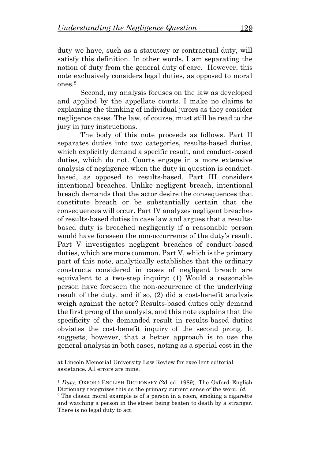duty we have, such as a statutory or contractual duty, will satisfy this definition. In other words, I am separating the notion of duty from the general duty of care. However, this note exclusively considers legal duties, as opposed to moral ones.<sup>2</sup>

Second, my analysis focuses on the law as developed and applied by the appellate courts. I make no claims to explaining the thinking of individual jurors as they consider negligence cases. The law, of course, must still be read to the jury in jury instructions.

The body of this note proceeds as follows. Part II separates duties into two categories, results-based duties, which explicitly demand a specific result, and conduct-based duties, which do not. Courts engage in a more extensive analysis of negligence when the duty in question is conductbased, as opposed to results-based. Part III considers intentional breaches. Unlike negligent breach, intentional breach demands that the actor desire the consequences that constitute breach or be substantially certain that the consequences will occur. Part IV analyzes negligent breaches of results-based duties in case law and argues that a resultsbased duty is breached negligently if a reasonable person would have foreseen the non-occurrence of the duty's result. Part V investigates negligent breaches of conduct-based duties, which are more common. Part V, which is the primary part of this note, analytically establishes that the ordinary constructs considered in cases of negligent breach are equivalent to a two-step inquiry: (1) Would a reasonable person have foreseen the non-occurrence of the underlying result of the duty, and if so, (2) did a cost-benefit analysis weigh against the actor? Results-based duties only demand the first prong of the analysis, and this note explains that the specificity of the demanded result in results-based duties obviates the cost-benefit inquiry of the second prong. It suggests, however, that a better approach is to use the general analysis in both cases, noting as a special cost in the

at Lincoln Memorial University Law Review for excellent editorial assistance. All errors are mine.

<sup>1</sup> *Duty*, OXFORD ENGLISH DICTIONARY (2d ed. 1989). The Oxford English Dictionary recognizes this as the primary current sense of the word. *Id.*

<sup>2</sup> The classic moral example is of a person in a room, smoking a cigarette and watching a person in the street being beaten to death by a stranger. There is no legal duty to act.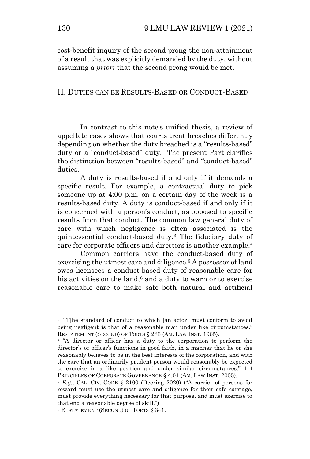cost-benefit inquiry of the second prong the non-attainment of a result that was explicitly demanded by the duty, without assuming *a priori* that the second prong would be met.

## II. DUTIES CAN BE RESULTS-BASED OR CONDUCT-BASED

In contrast to this note's unified thesis, a review of appellate cases shows that courts treat breaches differently depending on whether the duty breached is a "results-based" duty or a "conduct-based" duty. The present Part clarifies the distinction between "results-based" and "conduct-based" duties.

A duty is results-based if and only if it demands a specific result. For example, a contractual duty to pick someone up at 4:00 p.m. on a certain day of the week is a results-based duty. A duty is conduct-based if and only if it is concerned with a person's conduct, as opposed to specific results from that conduct. The common law general duty of care with which negligence is often associated is the quintessential conduct-based duty.<sup>3</sup> The fiduciary duty of care for corporate officers and directors is another example.<sup>4</sup>

Common carriers have the conduct-based duty of exercising the utmost care and diligence.<sup>5</sup> A possessor of land owes licensees a conduct-based duty of reasonable care for his activities on the land, $6$  and a duty to warn or to exercise reasonable care to make safe both natural and artificial

<sup>&</sup>lt;sup>3</sup> "[T]he standard of conduct to which [an actor] must conform to avoid being negligent is that of a reasonable man under like circumstances." RESTATEMENT (SECOND) OF TORTS § 283 (AM. LAW INST. 1965).

<sup>4</sup> "A director or officer has a duty to the corporation to perform the director's or officer's functions in good faith, in a manner that he or she reasonably believes to be in the best interests of the corporation, and with the care that an ordinarily prudent person would reasonably be expected to exercise in a like position and under similar circumstances." 1-4 PRINCIPLES OF CORPORATE GOVERNANCE § 4.01 (AM. LAW INST. 2005).

<sup>5</sup> *E.g.*, CAL. CIV. CODE § 2100 (Deering 2020) ("A carrier of persons for reward must use the utmost care and diligence for their safe carriage, must provide everything necessary for that purpose, and must exercise to that end a reasonable degree of skill.")

<sup>6</sup> RESTATEMENT (SECOND) OF TORTS § 341.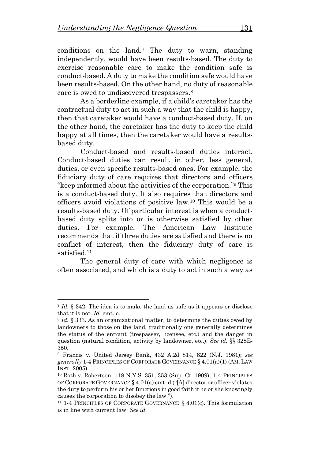conditions on the land.<sup>7</sup> The duty to warn, standing independently, would have been results-based. The duty to exercise reasonable care to make the condition safe is conduct-based. A duty to make the condition safe would have been results-based. On the other hand, no duty of reasonable care is owed to undiscovered trespassers.<sup>8</sup>

As a borderline example, if a child's caretaker has the contractual duty to act in such a way that the child is happy, then that caretaker would have a conduct-based duty. If, on the other hand, the caretaker has the duty to keep the child happy at all times, then the caretaker would have a resultsbased duty.

Conduct-based and results-based duties interact. Conduct-based duties can result in other, less general, duties, or even specific results-based ones. For example, the fiduciary duty of care requires that directors and officers "keep informed about the activities of the corporation."<sup>9</sup> This is a conduct-based duty. It also requires that directors and officers avoid violations of positive law.<sup>10</sup> This would be a results-based duty. Of particular interest is when a conductbased duty splits into or is otherwise satisfied by other duties. For example, The American Law Institute recommends that if three duties are satisfied and there is no conflict of interest, then the fiduciary duty of care is satisfied.<sup>11</sup>

The general duty of care with which negligence is often associated, and which is a duty to act in such a way as

<sup>7</sup> *Id.* § 342. The idea is to make the land as safe as it appears or disclose that it is not. *Id.* cmt. e.

<sup>8</sup> *Id.* § 333. As an organizational matter, to determine the duties owed by landowners to those on the land, traditionally one generally determines the status of the entrant (trespasser, licensee, etc.) and the danger in question (natural condition, activity by landowner, etc.). *See id.* §§ 328E-350.

<sup>9</sup> Francis v. United Jersey Bank, 432 A.2d 814, 822 (N.J. 1981); *see generally* 1-4 PRINCIPLES OF CORPORATE GOVERNANCE § 4.01(a)(1) (AM. LAW INST. 2005).

<sup>10</sup> Roth v. Robertson, 118 N.Y.S. 351, 353 (Sup. Ct. 1909); 1-4 PRINCIPLES OF CORPORATE GOVERNANCE § 4.01(a) cmt. d ("[A] director or officer violates the duty to perform his or her functions in good faith if he or she knowingly causes the corporation to disobey the law.").

<sup>&</sup>lt;sup>11</sup> 1-4 PRINCIPLES OF CORPORATE GOVERNANCE  $\S$  4.01(c). This formulation is in line with current law. *See id.*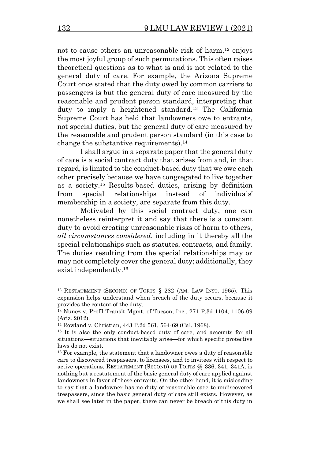not to cause others an unreasonable risk of harm, $^{12}$  enjoys the most joyful group of such permutations. This often raises theoretical questions as to what is and is not related to the general duty of care. For example, the Arizona Supreme Court once stated that the duty owed by common carriers to passengers is but the general duty of care measured by the reasonable and prudent person standard, interpreting that duty to imply a heightened standard.<sup>13</sup> The California Supreme Court has held that landowners owe to entrants, not special duties, but the general duty of care measured by the reasonable and prudent person standard (in this case to change the substantive requirements). 14

I shall argue in a separate paper that the general duty of care is a social contract duty that arises from and, in that regard, is limited to the conduct-based duty that we owe each other precisely because we have congregated to live together as a society.<sup>15</sup> Results-based duties, arising by definition from special relationships instead of individuals' membership in a society, are separate from this duty.

Motivated by this social contract duty, one can nonetheless reinterpret it and say that there is a constant duty to avoid creating unreasonable risks of harm to others, *all circumstances considered*, including in it thereby all the special relationships such as statutes, contracts, and family. The duties resulting from the special relationships may or may not completely cover the general duty; additionally, they exist independently. 16

<sup>12</sup> RESTATEMENT (SECOND) OF TORTS § 282 (AM. LAW INST. 1965). This expansion helps understand when breach of the duty occurs, because it provides the content of the duty.

<sup>13</sup> Nunez v. Prof'l Transit Mgmt. of Tucson, Inc., 271 P.3d 1104, 1106-09 (Ariz. 2012).

<sup>14</sup> Rowland v. Christian, 443 P.2d 561, 564-69 (Cal. 1968).

<sup>&</sup>lt;sup>15</sup> It is also the only conduct-based duty of care, and accounts for all situations—situations that inevitably arise—for which specific protective laws do not exist.

<sup>&</sup>lt;sup>16</sup> For example, the statement that a landowner owes a duty of reasonable care to discovered trespassers, to licensees, and to invitees with respect to active operations, RESTATEMENT (SECOND) OF TORTS §§ 336, 341, 341A, is nothing but a restatement of the basic general duty of care applied against landowners in favor of those entrants. On the other hand, it is misleading to say that a landowner has no duty of reasonable care to undiscovered trespassers, since the basic general duty of care still exists. However, as we shall see later in the paper, there can never be breach of this duty in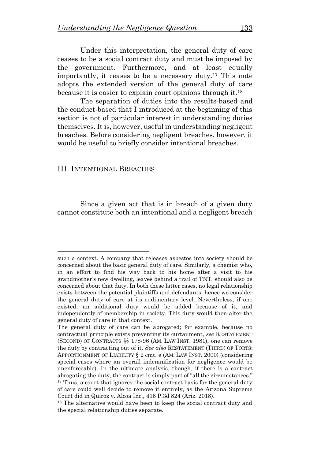Under this interpretation, the general duty of care ceases to be a social contract duty and must be imposed by the government. Furthermore, and at least equally importantly, it ceases to be a necessary duty.<sup>17</sup> This note adopts the extended version of the general duty of care because it is easier to explain court opinions through it.<sup>18</sup>

The separation of duties into the results-based and the conduct-based that I introduced at the beginning of this section is not of particular interest in understanding duties themselves. It is, however, useful in understanding negligent breaches. Before considering negligent breaches, however, it would be useful to briefly consider intentional breaches.

## III. INTENTIONAL BREACHES

Since a given act that is in breach of a given duty cannot constitute both an intentional and a negligent breach

such a context. A company that releases asbestos into society should be concerned about the basic general duty of care. Similarly, a chemist who, in an effort to find his way back to his home after a visit to his grandmother's new dwelling, leaves behind a trail of TNT, should also be concerned about that duty. In both these latter cases, no legal relationship exists between the potential plaintiffs and defendants; hence we consider the general duty of care at its rudimentary level. Nevertheless, if one existed, an additional duty would be added because of it, and independently of membership in society. This duty would then alter the general duty of care in that context.

The general duty of care can be abrogated; for example, because no contractual principle exists preventing its curtailment, *see* RESTATEMENT (SECOND) OF CONTRACTS §§ 178-96 (AM. LAW INST. 1981), one can remove the duty by contracting out of it. *See also* RESTATEMENT (THIRD) OF TORTS: APPORTIONMENT OF LIABILITY § 2 cmt. e (AM. LAW INST. 2000) (considering special cases where an overall indemnification for negligence would be unenforceable). In the ultimate analysis, though, if there is a contract abrogating the duty, the contract is simply part of "all the circumstances." <sup>17</sup> Thus, a court that ignores the social contract basis for the general duty of care could well decide to remove it entirely, as the Arizona Supreme Court did in Quiroz v. Alcoa Inc*.*, 416 P.3d 824 (Ariz. 2018).

<sup>&</sup>lt;sup>18</sup> The alternative would have been to keep the social contract duty and the special relationship duties separate.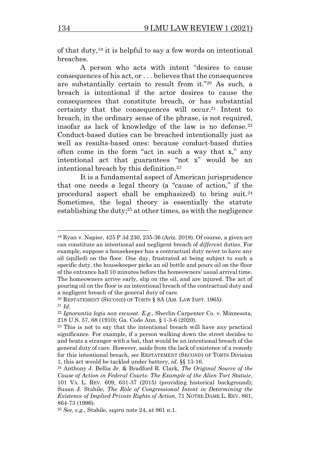of that duty, <sup>19</sup> it is helpful to say a few words on intentional breaches.

A person who acts with intent "desires to cause consequences of his act, or . . . believes that the consequences are substantially certain to result from it."<sup>20</sup> As such, a breach is intentional if the actor desires to cause the consequences that constitute breach, or has substantial certainty that the consequences will occur.<sup>21</sup> Intent to breach, in the ordinary sense of the phrase, is not required, insofar as lack of knowledge of the law is no defense.<sup>22</sup> Conduct-based duties can be breached intentionally just as well as results-based ones: because conduct-based duties often come in the form "act in such a way that x," any intentional act that guarantees "not x" would be an intentional breach by this definition.<sup>23</sup>

It is a fundamental aspect of American jurisprudence that one needs a legal theory (a "cause of action," if the procedural aspect shall be emphasized) to bring suit.<sup>24</sup> Sometimes, the legal theory is essentially the statute establishing the duty; <sup>25</sup> at other times, as with the negligence

<sup>19</sup> Ryan v. Napier, 425 P.3d 230, 235-36 (Ariz. 2018). Of course, a given act can constitute an intentional and negligent breach of *different* duties. For example, suppose a housekeeper has a contractual duty never to have any oil (spilled) on the floor. One day, frustrated at being subject to such a specific duty, the housekeeper picks an oil bottle and pours oil on the floor of the entrance hall 10 minutes before the homeowners' usual arrival time. The homeowners arrive early, slip on the oil, and are injured. The act of pouring oil on the floor is an intentional breach of the contractual duty and a negligent breach of the general duty of care.

<sup>20</sup> RESTATEMENT (SECOND) OF TORTS § 8A (AM. LAW INST. 1965). <sup>21</sup> *Id.*

<sup>22</sup> *Ignorantia legis non excusat*. *E.g.*, Shevlin-Carpenter Co. v. Minnesota, 218 U.S. 57, 68 (1910); Ga. Code Ann. § 1-3-6 (2020).

<sup>&</sup>lt;sup>23</sup> This is not to say that the intentional breach will have any practical significance. For example, if a person walking down the street decides to and beats a stranger with a bat, that would be an intentional breach of the general duty of care. However, aside from the lack of existence of a remedy for this intentional breach, *see* RESTATEMENT (SECOND) OF TORTS Division 1, this act would be tackled under battery, *id.* §§ 13-16.

<sup>24</sup> Anthony J. Bellia Jr. & Bradford R. Clark, *The Original Source of the Cause of Action in Federal Courts: The Example of the Alien Tort Statute*, 101 VA. L. REV. 609, 631-37 (2015) (providing historical background); Susan J. Stabile, *The Role of Congressional Intent in Determining the Existence of Implied Private Rights of Action*, 71 NOTRE DAME L. REV. 861, 864-73 (1996).

<sup>25</sup> *See, e.g.*, Stabile, *supra* note 24, at 861 n.1.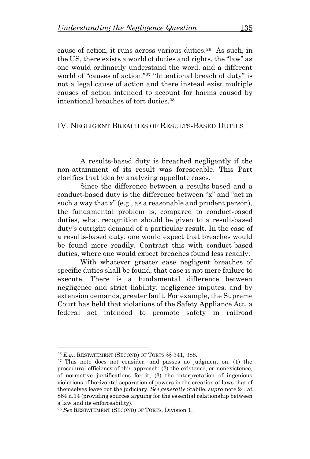cause of action, it runs across various duties.<sup>26</sup> As such, in the US, there exists a world of duties and rights, the "law" as one would ordinarily understand the word, and a different world of "causes of action."<sup>27</sup> "Intentional breach of duty" is not a legal cause of action and there instead exist multiple causes of action intended to account for harms caused by intentional breaches of tort duties.<sup>28</sup>

## IV. NEGLIGENT BREACHES OF RESULTS-BASED DUTIES

A results-based duty is breached negligently if the non-attainment of its result was foreseeable. This Part clarifies that idea by analyzing appellate cases.

Since the difference between a results-based and a conduct-based duty is the difference between "x" and "act in such a way that x" (e.g., as a reasonable and prudent person), the fundamental problem is, compared to conduct-based duties, what recognition should be given to a result-based duty's outright demand of a particular result. In the case of a results-based duty, one would expect that breaches would be found more readily. Contrast this with conduct-based duties, where one would expect breaches found less readily.

With whatever greater ease negligent breaches of specific duties shall be found, that ease is not mere failure to execute. There is a fundamental difference between negligence and strict liability: negligence imputes, and by extension demands, greater fault. For example, the Supreme Court has held that violations of the Safety Appliance Act, a federal act intended to promote safety in railroad

<sup>26</sup> *E.g.*, RESTATEMENT (SECOND) OF TORTS §§ 341, 388.

<sup>27</sup> This note does not consider, and passes no judgment on, (1) the procedural efficiency of this approach; (2) the existence, or nonexistence, of normative justifications for it; (3) the interpretation of ingenious violations of horizontal separation of powers in the creation of laws that of themselves leave out the judiciary. *See generally* Stabile, *supra* note 24, at 864 n.14 (providing sources arguing for the essential relationship between a law and its enforceability).

<sup>28</sup> *See* RESTATEMENT (SECOND) OF TORTS, Division 1.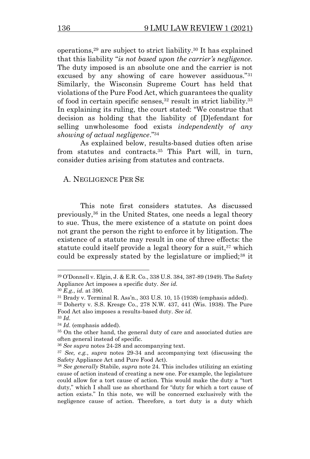operations,<sup>29</sup> are subject to strict liability.<sup>30</sup> It has explained that this liability "*is not based upon the carrier's negligence.* The duty imposed is an absolute one and the carrier is not excused by any showing of care however assiduous."<sup>31</sup> Similarly, the Wisconsin Supreme Court has held that violations of the Pure Food Act, which guarantees the quality of food in certain specific senses,<sup>32</sup> result in strict liability.<sup>33</sup> In explaining its ruling, the court stated: "We construe that decision as holding that the liability of [D]efendant for selling unwholesome food exists *independently of any showing of actual negligence*."<sup>34</sup>

As explained below, results-based duties often arise from statutes and contracts. <sup>35</sup> This Part will, in turn, consider duties arising from statutes and contracts.

## A. NEGLIGENCE PER SE

This note first considers statutes. As discussed previously,<sup>36</sup> in the United States, one needs a legal theory to sue. Thus, the mere existence of a statute on point does not grant the person the right to enforce it by litigation. The existence of a statute may result in one of three effects: the statute could itself provide a legal theory for a suit,<sup>37</sup> which could be expressly stated by the legislature or implied;<sup>38</sup> it

<sup>29</sup> O'Donnell v. Elgin, J. & E.R. Co., 338 U.S. 384, 387-89 (1949). The Safety Appliance Act imposes a specific duty. *See id.*

<sup>30</sup> *E.g.*, *id.* at 390.

<sup>31</sup> Brady v. Terminal R. Ass'n., 303 U.S. 10, 15 (1938) (emphasis added).

<sup>32</sup> Doherty v. S.S. Kresge Co., 278 N.W. 437, 441 (Wis. 1938). The Pure Food Act also imposes a results-based duty. *See id.*

<sup>33</sup> *Id.*

<sup>34</sup> *Id.* (emphasis added).

<sup>35</sup> On the other hand, the general duty of care and associated duties are often general instead of specific.

<sup>36</sup> *See supra* notes 24-28 and accompanying text.

<sup>37</sup> *See, e.g.*, *supra* notes 29-34 and accompanying text (discussing the Safety Appliance Act and Pure Food Act).

<sup>38</sup> *See generally* Stabile, *supra* note 24. This includes utilizing an existing cause of action instead of creating a new one. For example, the legislature could allow for a tort cause of action. This would make the duty a "tort duty," which I shall use as shorthand for "duty for which a tort cause of action exists." In this note, we will be concerned exclusively with the negligence cause of action. Therefore, a tort duty is a duty which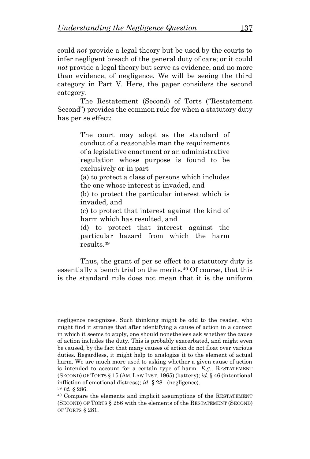could *not* provide a legal theory but be used by the courts to infer negligent breach of the general duty of care; or it could *not* provide a legal theory but serve as evidence, and no more than evidence, of negligence. We will be seeing the third category in Part V. Here, the paper considers the second category.

The Restatement (Second) of Torts ("Restatement Second") provides the common rule for when a statutory duty has per se effect:

> The court may adopt as the standard of conduct of a reasonable man the requirements of a legislative enactment or an administrative regulation whose purpose is found to be exclusively or in part

> (a) to protect a class of persons which includes the one whose interest is invaded, and

> (b) to protect the particular interest which is invaded, and

> (c) to protect that interest against the kind of harm which has resulted, and

> (d) to protect that interest against the particular hazard from which the harm results.<sup>39</sup>

Thus, the grant of per se effect to a statutory duty is essentially a bench trial on the merits.<sup>40</sup> Of course, that this is the standard rule does not mean that it is the uniform

negligence recognizes. Such thinking might be odd to the reader, who might find it strange that after identifying a cause of action in a context in which it seems to apply, one should nonetheless ask whether the cause of action includes the duty. This is probably exacerbated, and might even be caused, by the fact that many causes of action do not float over various duties. Regardless, it might help to analogize it to the element of actual harm. We are much more used to asking whether a given cause of action is intended to account for a certain type of harm. *E.g.*, RESTATEMENT (SECOND) OF TORTS § 15 (AM.LAW INST. 1965) (battery); *id.* § 46 (intentional infliction of emotional distress); *id.* § 281 (negligence).

<sup>39</sup> *Id.* § 286.

<sup>40</sup> Compare the elements and implicit assumptions of the RESTATEMENT (SECOND) OF TORTS § 286 with the elements of the RESTATEMENT (SECOND) OF TORTS § 281.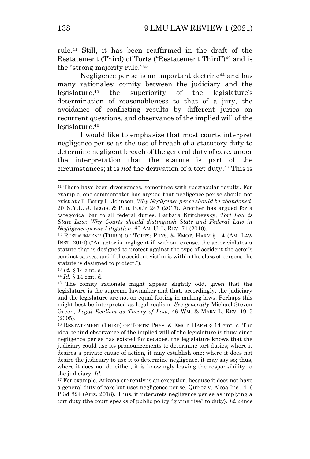rule.<sup>41</sup> Still, it has been reaffirmed in the draft of the Restatement (Third) of Torts ("Restatement Third")<sup>42</sup> and is the "strong majority rule."<sup>43</sup>

Negligence per se is an important doctrine<sup>44</sup> and has many rationales: comity between the judiciary and the legislature,<sup>45</sup> the superiority of the legislature's determination of reasonableness to that of a jury, the avoidance of conflicting results by different juries on recurrent questions, and observance of the implied will of the legislature. 46

I would like to emphasize that most courts interpret negligence per se as the use of breach of a statutory duty to determine negligent breach of the general duty of care, under the interpretation that the statute is part of the circumstances; it is *not* the derivation of a tort duty. <sup>47</sup> This is

<sup>41</sup> There have been divergences, sometimes with spectacular results. For example, one commentator has argued that negligence per se should not exist at all. Barry L. Johnson, *Why Negligence per se should be abandoned*, 20 N.Y.U. J. LEGIS. & PUB. POL'Y 247 (2017). Another has argued for a categorical bar to all federal duties. Barbara Kritchevsky, *Tort Law is State Law: Why Courts should distinguish State and Federal Law in Negligence-per-se Litigation*, 60 AM. U. L. REV. 71 (2010).

<sup>42</sup> RESTATEMENT (THIRD) OF TORTS: PHYS. & EMOT. HARM § 14 (AM. LAW INST. 2010) ("An actor is negligent if, without excuse, the actor violates a statute that is designed to protect against the type of accident the actor's conduct causes, and if the accident victim is within the class of persons the statute is designed to protect.").

<sup>43</sup> *Id.* § 14 cmt. c.

<sup>44</sup> *Id.* § 14 cmt. d.

<sup>45</sup> The comity rationale might appear slightly odd, given that the legislature is the supreme lawmaker and that, accordingly, the judiciary and the legislature are not on equal footing in making laws. Perhaps this might best be interpreted as legal realism. *See generally* Michael Steven Green, *Legal Realism as Theory of Law*, 46 WM. & MARY L. REV. 1915 (2005).

<sup>46</sup> RESTATEMENT (THIRD) OF TORTS: PHYS. & EMOT. HARM § 14 cmt. c. The idea behind observance of the implied will of the legislature is thus: since negligence per se has existed for decades, the legislature knows that the judiciary could use its pronouncements to determine tort duties; where it desires a private cause of action, it may establish one; where it does not desire the judiciary to use it to determine negligence, it may say so; thus, where it does not do either, it is knowingly leaving the responsibility to the judiciary. *Id.*

<sup>&</sup>lt;sup>47</sup> For example, Arizona currently is an exception, because it does not have a general duty of care but uses negligence per se. Quiroz v. Alcoa Inc., 416 P.3d 824 (Ariz. 2018). Thus, it interprets negligence per se as implying a tort duty (the court speaks of public policy "giving rise" to duty). *Id.* Since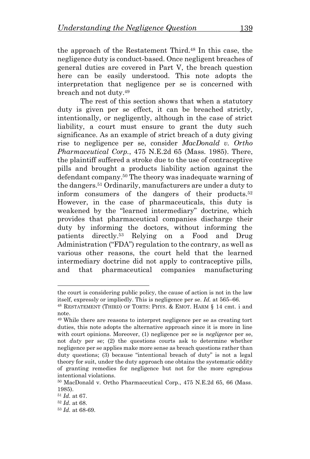the approach of the Restatement Third.<sup>48</sup> In this case, the negligence duty is conduct-based. Once negligent breaches of general duties are covered in Part V, the breach question here can be easily understood. This note adopts the interpretation that negligence per se is concerned with breach and not duty.<sup>49</sup>

The rest of this section shows that when a statutory duty is given per se effect, it can be breached strictly, intentionally, or negligently, although in the case of strict liability, a court must ensure to grant the duty such significance. As an example of strict breach of a duty giving rise to negligence per se, consider *MacDonald v. Ortho Pharmaceutical Corp.*, 475 N.E.2d 65 (Mass. 1985). There, the plaintiff suffered a stroke due to the use of contraceptive pills and brought a products liability action against the defendant company.<sup>50</sup> The theory was inadequate warning of the dangers.<sup>51</sup> Ordinarily, manufacturers are under a duty to inform consumers of the dangers of their products.<sup>52</sup> However, in the case of pharmaceuticals, this duty is weakened by the "learned intermediary" doctrine, which provides that pharmaceutical companies discharge their duty by informing the doctors, without informing the patients directly.<sup>53</sup> Relying on a Food and Drug Administration ("FDA") regulation to the contrary, as well as various other reasons, the court held that the learned intermediary doctrine did not apply to contraceptive pills, and that pharmaceutical companies manufacturing

the court is considering public policy, the cause of action is not in the law itself, expressly or impliedly. This is negligence per se. *Id.* at 565–66.

<sup>48</sup> RESTATEMENT (THIRD) OF TORTS: PHYS. & EMOT. HARM § 14 cmt. i and note.

<sup>49</sup> While there are reasons to interpret negligence per se as creating tort duties, this note adopts the alternative approach since it is more in line with court opinions. Moreover, (1) negligence per se is *negligence* per se, not *duty* per se; (2) the questions courts ask to determine whether negligence per se applies make more sense as breach questions rather than duty questions; (3) because "intentional breach of duty" is not a legal theory for suit, under the duty approach one obtains the systematic oddity of granting remedies for negligence but not for the more egregious intentional violations.

<sup>50</sup> MacDonald v. Ortho Pharmaceutical Corp., 475 N.E.2d 65, 66 (Mass. 1985).

<sup>51</sup> *Id.* at 67.

<sup>52</sup> *Id.* at 68.

<sup>53</sup> *Id.* at 68-69.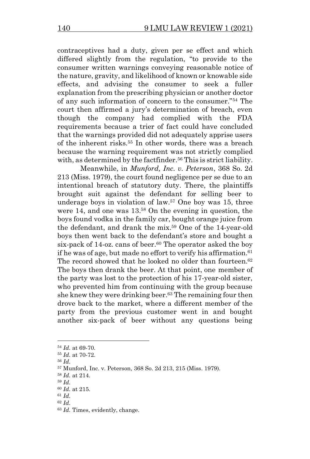contraceptives had a duty, given per se effect and which differed slightly from the regulation, "to provide to the consumer written warnings conveying reasonable notice of the nature, gravity, and likelihood of known or knowable side effects, and advising the consumer to seek a fuller explanation from the prescribing physician or another doctor of any such information of concern to the consumer."<sup>54</sup> The court then affirmed a jury's determination of breach, even though the company had complied with the FDA requirements because a trier of fact could have concluded that the warnings provided did not adequately apprise users of the inherent risks.<sup>55</sup> In other words, there was a breach because the warning requirement was not strictly complied with, as determined by the factfinder.<sup>56</sup> This is strict liability.

Meanwhile, in *Munford, Inc. v. Peterson*, 368 So. 2d 213 (Miss. 1979), the court found negligence per se due to an intentional breach of statutory duty. There, the plaintiffs brought suit against the defendant for selling beer to underage boys in violation of law.<sup>57</sup> One boy was 15, three were 14, and one was 13. <sup>58</sup> On the evening in question, the boys found vodka in the family car, bought orange juice from the defendant, and drank the mix.<sup>59</sup> One of the 14-year-old boys then went back to the defendant's store and bought a six-pack of 14-oz. cans of beer.<sup>60</sup> The operator asked the boy if he was of age, but made no effort to verify his affirmation.<sup>61</sup> The record showed that he looked no older than fourteen.<sup>62</sup> The boys then drank the beer. At that point, one member of the party was lost to the protection of his 17-year-old sister, who prevented him from continuing with the group because she knew they were drinking beer.<sup>63</sup> The remaining four then drove back to the market, where a different member of the party from the previous customer went in and bought another six-pack of beer without any questions being

<sup>56</sup> *Id.*

<sup>54</sup> *Id.* at 69-70.

<sup>55</sup> *Id.* at 70-72.

<sup>57</sup> Munford, Inc. v. Peterson, 368 So. 2d 213, 215 (Miss. 1979).

<sup>58</sup> *Id.* at 214.

<sup>59</sup> *Id.*

<sup>60</sup> *Id.* at 215.

<sup>61</sup> *Id.*

<sup>62</sup> *Id.*

<sup>63</sup> *Id.* Times, evidently, change.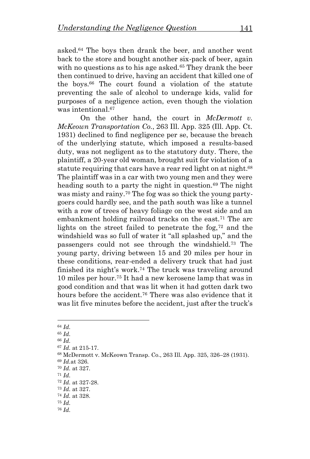asked.<sup>64</sup> The boys then drank the beer, and another went back to the store and bought another six-pack of beer, again with no questions as to his age asked.<sup>65</sup> They drank the beer then continued to drive, having an accident that killed one of the boys.<sup>66</sup> The court found a violation of the statute preventing the sale of alcohol to underage kids, valid for purposes of a negligence action, even though the violation was intentional.<sup>67</sup>

On the other hand, the court in *McDermott v. McKeown Transportation Co.*, 263 Ill. App. 325 (Ill. App. Ct. 1931) declined to find negligence per se, because the breach of the underlying statute, which imposed a results-based duty, was not negligent as to the statutory duty. There, the plaintiff, a 20-year old woman, brought suit for violation of a statute requiring that cars have a rear red light on at night.<sup>68</sup> The plaintiff was in a car with two young men and they were heading south to a party the night in question.<sup>69</sup> The night was misty and rainy.<sup>70</sup> The fog was so thick the young partygoers could hardly see, and the path south was like a tunnel with a row of trees of heavy foliage on the west side and an embankment holding railroad tracks on the east.<sup>71</sup> The arc lights on the street failed to penetrate the fog, $72$  and the windshield was so full of water it "all splashed up," and the passengers could not see through the windshield.<sup>73</sup> The young party, driving between 15 and 20 miles per hour in these conditions, rear-ended a delivery truck that had just finished its night's work. <sup>74</sup> The truck was traveling around 10 miles per hour.<sup>75</sup> It had a new kerosene lamp that was in good condition and that was lit when it had gotten dark two hours before the accident.<sup>76</sup> There was also evidence that it was lit five minutes before the accident, just after the truck's

<sup>71</sup> *Id.*

<sup>64</sup> *Id.*

<sup>65</sup> *Id.*

<sup>66</sup> *Id.*

<sup>67</sup> *Id.* at 215-17.

<sup>68</sup> McDermott v. McKeown Transp. Co., 263 Ill. App. 325, 326–28 (1931).

<sup>69</sup> *Id.*at 326.

<sup>70</sup> *Id.* at 327.

<sup>72</sup> *Id.* at 327-28.

<sup>73</sup> *Id.* at 327.

<sup>74</sup> *Id.* at 328.

<sup>75</sup> *Id.*

<sup>76</sup> *Id.*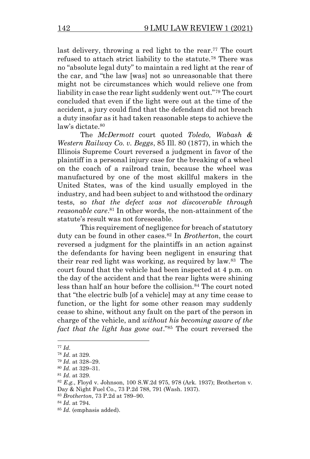last delivery, throwing a red light to the rear.<sup>77</sup> The court refused to attach strict liability to the statute.<sup>78</sup> There was no "absolute legal duty" to maintain a red light at the rear of the car, and "the law [was] not so unreasonable that there might not be circumstances which would relieve one from liability in case the rear light suddenly went out."<sup>79</sup> The court concluded that even if the light were out at the time of the accident, a jury could find that the defendant did not breach a duty insofar as it had taken reasonable steps to achieve the law's dictate.<sup>80</sup>

The *McDermott* court quoted *Toledo, Wabash & Western Railway Co. v. Beggs*, 85 Ill. 80 (1877), in which the Illinois Supreme Court reversed a judgment in favor of the plaintiff in a personal injury case for the breaking of a wheel on the coach of a railroad train, because the wheel was manufactured by one of the most skillful makers in the United States, was of the kind usually employed in the industry, and had been subject to and withstood the ordinary tests, so *that the defect was not discoverable through reasonable care*. <sup>81</sup> In other words, the non-attainment of the statute's result was not foreseeable.

This requirement of negligence for breach of statutory duty can be found in other cases.<sup>82</sup> In *Brotherton*, the court reversed a judgment for the plaintiffs in an action against the defendants for having been negligent in ensuring that their rear red light was working, as required by law.<sup>83</sup> The court found that the vehicle had been inspected at 4 p.m. on the day of the accident and that the rear lights were shining less than half an hour before the collision.<sup>84</sup> The court noted that "the electric bulb [of a vehicle] may at any time cease to function, or the light for some other reason may suddenly cease to shine, without any fault on the part of the person in charge of the vehicle, and *without his becoming aware of the fact that the light has gone out*."<sup>85</sup> The court reversed the

<sup>77</sup> *Id.*

<sup>78</sup> *Id.* at 329.

<sup>79</sup> *Id.* at 328–29.

<sup>80</sup> *Id.* at 329–31.

<sup>81</sup> *Id.* at 329.

<sup>82</sup> *E.g.*, Floyd v. Johnson, 100 S.W.2d 975, 978 (Ark. 1937); Brotherton v.

Day & Night Fuel Co., 73 P.2d 788, 791 (Wash. 1937).

<sup>83</sup> *Brotherton*, 73 P.2d at 789–90.

<sup>84</sup> *Id.* at 794.

<sup>85</sup> *Id.* (emphasis added).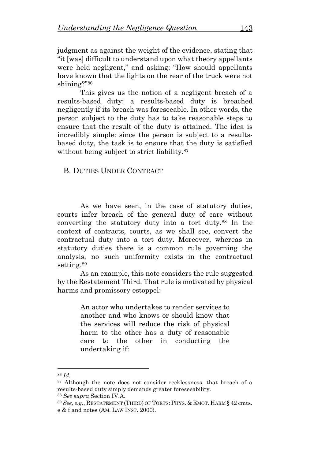judgment as against the weight of the evidence, stating that "it [was] difficult to understand upon what theory appellants were held negligent," and asking: "How should appellants have known that the lights on the rear of the truck were not shining?"<sup>86</sup>

This gives us the notion of a negligent breach of a results-based duty: a results-based duty is breached negligently if its breach was foreseeable. In other words, the person subject to the duty has to take reasonable steps to ensure that the result of the duty is attained. The idea is incredibly simple: since the person is subject to a resultsbased duty, the task is to ensure that the duty is satisfied without being subject to strict liability.<sup>87</sup>

B. DUTIES UNDER CONTRACT

As we have seen, in the case of statutory duties, courts infer breach of the general duty of care without converting the statutory duty into a tort duty.<sup>88</sup> In the context of contracts, courts, as we shall see, convert the contractual duty into a tort duty. Moreover, whereas in statutory duties there is a common rule governing the analysis, no such uniformity exists in the contractual setting.<sup>89</sup>

As an example, this note considers the rule suggested by the Restatement Third. That rule is motivated by physical harms and promissory estoppel:

> An actor who undertakes to render services to another and who knows or should know that the services will reduce the risk of physical harm to the other has a duty of reasonable care to the other in conducting the undertaking if:

<sup>86</sup> *Id.*

<sup>&</sup>lt;sup>87</sup> Although the note does not consider recklessness, that breach of a results-based duty simply demands greater foreseeability.

<sup>88</sup> *See supra* Section IV.A.

<sup>89</sup> *See, e.g.*, RESTATEMENT (THIRD) OF TORTS:PHYS. & EMOT. HARM § 42 cmts. e & f and notes (AM. LAW INST. 2000).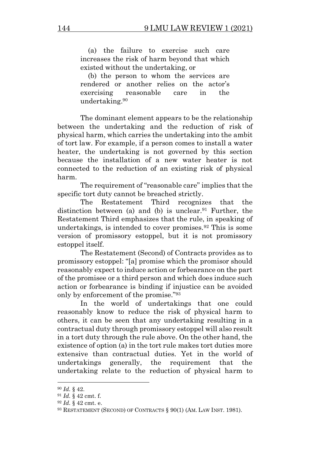(a) the failure to exercise such care increases the risk of harm beyond that which existed without the undertaking, or

 (b) the person to whom the services are rendered or another relies on the actor's exercising reasonable care in the undertaking.<sup>90</sup>

The dominant element appears to be the relationship between the undertaking and the reduction of risk of physical harm, which carries the undertaking into the ambit of tort law. For example, if a person comes to install a water heater, the undertaking is not governed by this section because the installation of a new water heater is not connected to the reduction of an existing risk of physical harm.

The requirement of "reasonable care" implies that the specific tort duty cannot be breached strictly.

The Restatement Third recognizes that the distinction between (a) and (b) is unclear.<sup>91</sup> Further, the Restatement Third emphasizes that the rule, in speaking of undertakings, is intended to cover promises.<sup>92</sup> This is some version of promissory estoppel, but it is not promissory estoppel itself.

The Restatement (Second) of Contracts provides as to promissory estoppel: "[a] promise which the promisor should reasonably expect to induce action or forbearance on the part of the promisee or a third person and which does induce such action or forbearance is binding if injustice can be avoided only by enforcement of the promise."<sup>93</sup>

In the world of undertakings that one could reasonably know to reduce the risk of physical harm to others, it can be seen that any undertaking resulting in a contractual duty through promissory estoppel will also result in a tort duty through the rule above. On the other hand, the existence of option (a) in the tort rule makes tort duties more extensive than contractual duties. Yet in the world of undertakings generally, the requirement that the undertaking relate to the reduction of physical harm to

<sup>90</sup> *Id.* § 42.

<sup>91</sup> *Id.* § 42 cmt. f.

<sup>92</sup> *Id.* § 42 cmt. e.

<sup>93</sup> RESTATEMENT (SECOND) OF CONTRACTS § 90(1) (AM. LAW INST. 1981).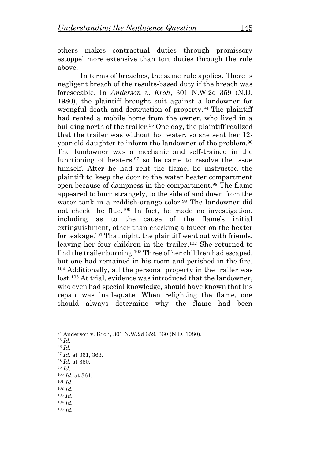others makes contractual duties through promissory estoppel more extensive than tort duties through the rule above.

In terms of breaches, the same rule applies. There is negligent breach of the results-based duty if the breach was foreseeable. In *Anderson v. Kroh*, 301 N.W.2d 359 (N.D. 1980), the plaintiff brought suit against a landowner for wrongful death and destruction of property.<sup>94</sup> The plaintiff had rented a mobile home from the owner, who lived in a building north of the trailer.<sup>95</sup> One day, the plaintiff realized that the trailer was without hot water, so she sent her 12 year-old daughter to inform the landowner of the problem.<sup>96</sup> The landowner was a mechanic and self-trained in the functioning of heaters, <sup>97</sup> so he came to resolve the issue himself. After he had relit the flame, he instructed the plaintiff to keep the door to the water heater compartment open because of dampness in the compartment.<sup>98</sup> The flame appeared to burn strangely, to the side of and down from the water tank in a reddish-orange color.<sup>99</sup> The landowner did not check the flue.<sup>100</sup> In fact, he made no investigation, including as to the cause of the flame's initial extinguishment, other than checking a faucet on the heater for leakage. <sup>101</sup> That night, the plaintiff went out with friends, leaving her four children in the trailer. <sup>102</sup> She returned to find the trailer burning. <sup>103</sup> Three of her children had escaped, but one had remained in his room and perished in the fire. <sup>104</sup> Additionally, all the personal property in the trailer was lost.<sup>105</sup> At trial, evidence was introduced that the landowner, who even had special knowledge, should have known that his repair was inadequate. When relighting the flame, one should always determine why the flame had been

- <sup>95</sup> *Id.*
- <sup>96</sup> *Id.*
- <sup>97</sup> *Id.* at 361, 363.
- <sup>98</sup> *Id.* at 360.
- <sup>99</sup> *Id.* <sup>100</sup> *Id.* at 361.
- <sup>101</sup> *Id.*
- <sup>102</sup> *Id.*
- <sup>103</sup> *Id.*
- <sup>104</sup> *Id.*
- <sup>105</sup> *Id.*

<sup>94</sup> Anderson v. Kroh, 301 N.W.2d 359, 360 (N.D. 1980).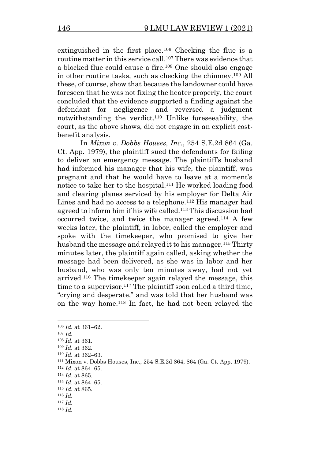extinguished in the first place.<sup>106</sup> Checking the flue is a routine matter in this service call.<sup>107</sup> There was evidence that a blocked flue could cause a fire.<sup>108</sup> One should also engage in other routine tasks, such as checking the chimney.<sup>109</sup> All these, of course, show that because the landowner could have foreseen that he was not fixing the heater properly, the court concluded that the evidence supported a finding against the defendant for negligence and reversed a judgment notwithstanding the verdict.<sup>110</sup> Unlike foreseeability, the court, as the above shows, did not engage in an explicit costbenefit analysis.

In *Mixon v. Dobbs Houses, Inc.*, 254 S.E.2d 864 (Ga. Ct. App. 1979), the plaintiff sued the defendants for failing to deliver an emergency message. The plaintiff's husband had informed his manager that his wife, the plaintiff, was pregnant and that he would have to leave at a moment's notice to take her to the hospital.<sup>111</sup> He worked loading food and clearing planes serviced by his employer for Delta Air Lines and had no access to a telephone.<sup>112</sup> His manager had agreed to inform him if his wife called.<sup>113</sup> This discussion had occurred twice, and twice the manager agreed.<sup>114</sup> A few weeks later, the plaintiff, in labor, called the employer and spoke with the timekeeper, who promised to give her husband the message and relayed it to his manager.<sup>115</sup> Thirty minutes later, the plaintiff again called, asking whether the message had been delivered, as she was in labor and her husband, who was only ten minutes away, had not yet arrived.<sup>116</sup> The timekeeper again relayed the message, this time to a supervisor.<sup>117</sup> The plaintiff soon called a third time, "crying and desperate," and was told that her husband was on the way home.<sup>118</sup> In fact, he had not been relayed the

<sup>118</sup> *Id.*

<sup>106</sup> *Id.* at 361–62.

<sup>107</sup> *Id.*

<sup>108</sup> *Id.* at 361.

<sup>109</sup> *Id.* at 362.

<sup>110</sup> *Id.* at 362–63.

<sup>111</sup> Mixon v. Dobbs Houses, Inc., 254 S.E.2d 864, 864 (Ga. Ct. App. 1979).

<sup>112</sup> *Id.* at 864–65.

<sup>113</sup> *Id.* at 865.

<sup>114</sup> *Id.* at 864–65.

<sup>115</sup> *Id.* at 865.

<sup>116</sup> *Id.*

<sup>117</sup> *Id.*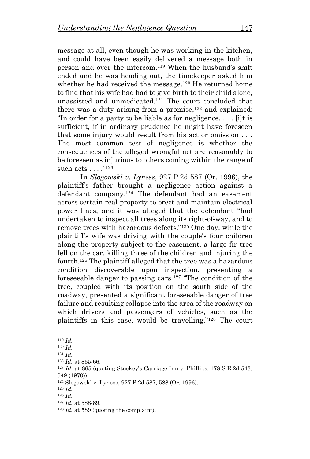message at all, even though he was working in the kitchen, and could have been easily delivered a message both in person and over the intercom.<sup>119</sup> When the husband's shift ended and he was heading out, the timekeeper asked him whether he had received the message.<sup>120</sup> He returned home to find that his wife had had to give birth to their child alone, unassisted and unmedicated.<sup>121</sup> The court concluded that there was a duty arising from a promise, $122$  and explained: "In order for a party to be liable as for negligence, . . . [i]t is sufficient, if in ordinary prudence he might have foreseen that some injury would result from his act or omission . . . The most common test of negligence is whether the consequences of the alleged wrongful act are reasonably to be foreseen as injurious to others coming within the range of  $\text{such acts} \dots$ ." $^{123}$ 

In *Slogowski v. Lyness*, 927 P.2d 587 (Or. 1996), the plaintiff's father brought a negligence action against a defendant company.<sup>124</sup> The defendant had an easement across certain real property to erect and maintain electrical power lines, and it was alleged that the defendant "had undertaken to inspect all trees along its right-of-way, and to remove trees with hazardous defects."<sup>125</sup> One day, while the plaintiff's wife was driving with the couple's four children along the property subject to the easement, a large fir tree fell on the car, killing three of the children and injuring the fourth.<sup>126</sup> The plaintiff alleged that the tree was a hazardous condition discoverable upon inspection, presenting a foreseeable danger to passing cars.<sup>127</sup> "The condition of the tree, coupled with its position on the south side of the roadway, presented a significant foreseeable danger of tree failure and resulting collapse into the area of the roadway on which drivers and passengers of vehicles, such as the plaintiffs in this case, would be travelling."<sup>128</sup> The court

<sup>119</sup> *Id.*

<sup>120</sup> *Id.*

<sup>121</sup> *Id.*

<sup>122</sup> *Id.* at 865-66.

<sup>123</sup> *Id.* at 865 (quoting Stuckey's Carriage Inn v. Phillips, 178 S.E.2d 543, 549 (1970)).

<sup>124</sup> Slogowski v. Lyness, 927 P.2d 587, 588 (Or. 1996).

<sup>125</sup> *Id.*

<sup>126</sup> *Id.*

<sup>127</sup> *Id.* at 588-89.

<sup>128</sup> *Id.* at 589 (quoting the complaint).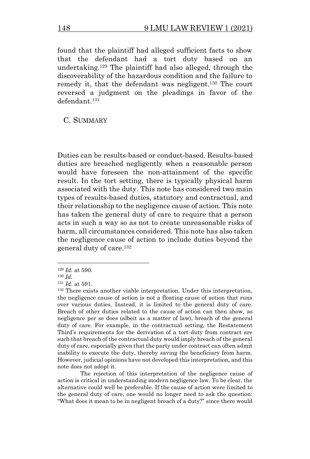found that the plaintiff had alleged sufficient facts to show that the defendant had a tort duty based on an undertaking.<sup>129</sup> The plaintiff had also alleged, through the discoverability of the hazardous condition and the failure to remedy it, that the defendant was negligent.<sup>130</sup> The court reversed a judgment on the pleadings in favor of the defendant.<sup>131</sup>

C. SUMMARY

Duties can be results-based or conduct-based. Results-based duties are breached negligently when a reasonable person would have foreseen the non-attainment of the specific result. In the tort setting, there is typically physical harm associated with the duty. This note has considered two main types of results-based duties, statutory and contractual, and their relationship to the negligence cause of action. This note has taken the general duty of care to require that a person acts in such a way so as not to create unreasonable risks of harm, all circumstances considered. This note has also taken the negligence cause of action to include duties beyond the general duty of care.<sup>132</sup>

The rejection of this interpretation of the negligence cause of action is critical in understanding modern negligence law. To be clear, the alternative could well be preferable. If the cause of action were limited to the general duty of care, one would no longer need to ask the question: "What does it mean to be in negligent breach of a duty?" since there would

<sup>129</sup> *Id.* at 590.

<sup>130</sup> *Id.*

<sup>131</sup> *Id.* at 591.

<sup>132</sup> There exists another viable interpretation. Under this interpretation, the negligence cause of action is not a floating cause of action that runs over various duties. Instead, it is limited to the general duty of care. Breach of other duties related to the cause of action can then show, as negligence per se does (albeit as a matter of law), breach of the general duty of care. For example, in the contractual setting, the Restatement Third's requirements for the derivation of a tort duty from contract are such that breach of the contractual duty would imply breach of the general duty of care, especially given that the party under contract can often admit inability to execute the duty, thereby saving the beneficiary from harm. However, judicial opinions have not developed this interpretation, and this note does not adopt it.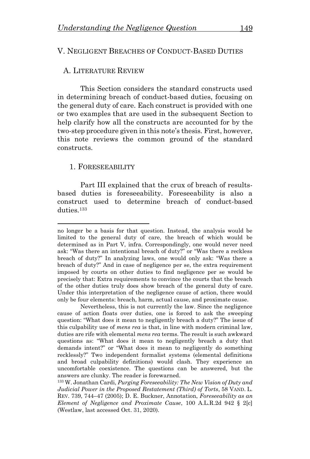## V. NEGLIGENT BREACHES OF CONDUCT-BASED DUTIES

#### A. LITERATURE REVIEW

This Section considers the standard constructs used in determining breach of conduct-based duties, focusing on the general duty of care. Each construct is provided with one or two examples that are used in the subsequent Section to help clarify how all the constructs are accounted for by the two-step procedure given in this note's thesis. First, however, this note reviews the common ground of the standard constructs.

#### 1. FORESEEABILITY

Part III explained that the crux of breach of resultsbased duties is foreseeability. Foreseeability is also a construct used to determine breach of conduct-based duties<sup>133</sup>

no longer be a basis for that question. Instead, the analysis would be limited to the general duty of care, the breach of which would be determined as in Part V, infra. Correspondingly, one would never need ask: "Was there an intentional breach of duty?" or "Was there a reckless breach of duty?" In analyzing laws, one would only ask: "Was there a breach of duty?" And in case of negligence per se, the extra requirement imposed by courts on other duties to find negligence per se would be precisely that: Extra requirements to convince the courts that the breach of the other duties truly does show breach of the general duty of care. Under this interpretation of the negligence cause of action, there would only be four elements: breach, harm, actual cause, and proximate cause.

Nevertheless, this is not currently the law. Since the negligence cause of action floats over duties, one is forced to ask the sweeping question: "What does it mean to negligently breach a duty?" The issue of this culpability use of *mens rea* is that, in line with modern criminal law, duties are rife with elemental *mens rea* terms. The result is such awkward questions as: "What does it mean to negligently breach a duty that demands intent?" or "What does it mean to negligently do something recklessly?" Two independent formalist systems (elemental definitions and broad culpability definitions) would clash. They experience an uncomfortable coexistence. The questions can be answered, but the answers are clunky. The reader is forewarned.

<sup>133</sup> W. Jonathan Cardi, *Purging Foreseeability: The New Vision of Duty and Judicial Power in the Proposed Restatement (Third) of Torts*, 58 VAND. L. REV. 739, 744–47 (2005); D. E. Buckner, Annotation, *Foreseeability as an Element of Negligence and Proximate Cause*, 100 A.L.R.2d 942 § 2[c] (Westlaw, last accessed Oct. 31, 2020).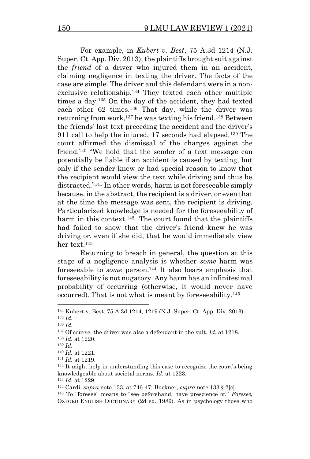For example, in *Kubert v. Best*, 75 A.3d 1214 (N.J. Super. Ct. App. Div. 2013), the plaintiffs brought suit against the *friend* of a driver who injured them in an accident, claiming negligence in texting the driver. The facts of the case are simple. The driver and this defendant were in a nonexclusive relationship.<sup>134</sup> They texted each other multiple times a day.<sup>135</sup> On the day of the accident, they had texted each other 62 times.<sup>136</sup> That day, while the driver was returning from work,<sup>137</sup> he was texting his friend.<sup>138</sup> Between the friends' last text preceding the accident and the driver's 911 call to help the injured, 17 seconds had elapsed.<sup>139</sup> The court affirmed the dismissal of the charges against the friend.<sup>140</sup> "We hold that the sender of a text message can potentially be liable if an accident is caused by texting, but only if the sender knew or had special reason to know that the recipient would view the text while driving and thus be distracted."<sup>141</sup> In other words, harm is not foreseeable simply because, in the abstract, the recipient is a driver, or even that at the time the message was sent, the recipient is driving. Particularized knowledge is needed for the foreseeability of harm in this context.<sup>142</sup> The court found that the plaintiffs had failed to show that the driver's friend knew he was driving or, even if she did, that he would immediately view her text.<sup>143</sup>

Returning to breach in general, the question at this stage of a negligence analysis is whether *some* harm was foreseeable to *some* person.<sup>144</sup> It also bears emphasis that foreseeability is not nugatory. Any harm has an infinitesimal probability of occurring (otherwise, it would never have occurred). That is not what is meant by foreseeability.<sup>145</sup>

<sup>134</sup> Kubert v. Best, 75 A.3d 1214, 1219 (N.J. Super. Ct. App. Div. 2013). <sup>135</sup> *Id.*

<sup>136</sup> *Id.*

<sup>137</sup> Of course, the driver was also a defendant in the suit. *Id.* at 1218.

<sup>138</sup> *Id.* at 1220.

<sup>139</sup> *Id.*

<sup>140</sup> *Id.* at 1221.

<sup>141</sup> *Id.* at 1219.

<sup>142</sup> It might help in understanding this case to recognize the court's being knowledgeable about societal norms. *Id.* at 1223.

<sup>143</sup> *Id.* at 1229.

<sup>144</sup> Cardi, *supra* note 133, at 746-47; Buckner, *supra* note 133 § 2[c].

<sup>145</sup> To "foresee" means to "see beforehand, have prescience of." *Foresee*, OXFORD ENGLISH DICTIONARY (2d ed. 1989). As in psychology those who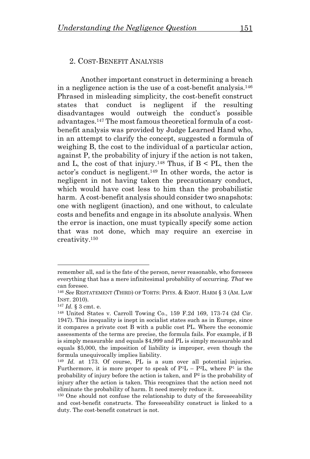#### 2. COST-BENEFIT ANALYSIS

Another important construct in determining a breach in a negligence action is the use of a cost-benefit analysis.<sup>146</sup> Phrased in misleading simplicity, the cost-benefit construct states that conduct is negligent if the resulting disadvantages would outweigh the conduct's possible advantages.<sup>147</sup> The most famous theoretical formula of a costbenefit analysis was provided by Judge Learned Hand who, in an attempt to clarify the concept, suggested a formula of weighing B, the cost to the individual of a particular action, against P, the probability of injury if the action is not taken, and L, the cost of that injury.<sup>148</sup> Thus, if  $B < PL$ , then the actor's conduct is negligent.<sup>149</sup> In other words, the actor is negligent in not having taken the precautionary conduct, which would have cost less to him than the probabilistic harm. A cost-benefit analysis should consider two snapshots: one with negligent (inaction), and one without, to calculate costs and benefits and engage in its absolute analysis. When the error is inaction, one must typically specify some action that was not done, which may require an exercise in creativity.<sup>150</sup>

remember all, sad is the fate of the person, never reasonable, who foresees everything that has a mere infinitesimal probability of occurring. *That* we can foresee.

<sup>146</sup> *See* RESTATEMENT (THIRD) OF TORTS: PHYS. & EMOT. HARM § 3 (AM. LAW INST. 2010).

<sup>147</sup> *Id.* § 3 cmt. e.

<sup>148</sup> United States v. Carroll Towing Co., 159 F.2d 169, 173-74 (2d Cir. 1947). This inequality is inept in socialist states such as in Europe, since it compares a private cost B with a public cost PL. Where the economic assessments of the terms are precise, the formula fails. For example, if B is simply measurable and equals \$4,999 and PL is simply measurable and equals \$5,000, the imposition of liability is improper, even though the formula unequivocally implies liability.

<sup>149</sup> *Id.* at 173. Of course, PL is a sum over all potential injuries. Furthermore, it is more proper to speak of  $P<sup>1</sup>L - P<sup>2</sup>L$ , where  $P<sup>1</sup>$  is the probability of injury before the action is taken, and  $P^2$  is the probability of injury after the action is taken. This recognizes that the action need not eliminate the probability of harm. It need merely reduce it.

<sup>150</sup> One should not confuse the relationship to duty of the foreseeability and cost-benefit constructs. The foreseeability construct is linked to a duty. The cost-benefit construct is not.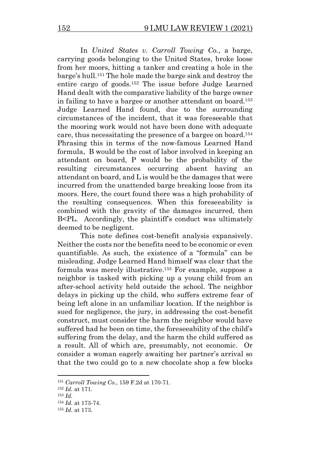In *United States v. Carroll Towing Co.*, a barge, carrying goods belonging to the United States, broke loose from her moors, hitting a tanker and creating a hole in the barge's hull. <sup>151</sup> The hole made the barge sink and destroy the entire cargo of goods.<sup>152</sup> The issue before Judge Learned Hand dealt with the comparative liability of the barge owner in failing to have a bargee or another attendant on board.<sup>153</sup> Judge Learned Hand found, due to the surrounding circumstances of the incident, that it was foreseeable that the mooring work would not have been done with adequate care, thus necessitating the presence of a bargee on board.<sup>154</sup> Phrasing this in terms of the now-famous Learned Hand formula, B would be the cost of labor involved in keeping an attendant on board, P would be the probability of the resulting circumstances occurring absent having an attendant on board, and L is would be the damages that were incurred from the unattended barge breaking loose from its moors. Here, the court found there was a high probability of the resulting consequences. When this foreseeability is combined with the gravity of the damages incurred, then B<PL. Accordingly, the plaintiff's conduct was ultimately deemed to be negligent.

This note defines cost-benefit analysis expansively. Neither the costs nor the benefits need to be economic or even quantifiable. As such, the existence of a "formula" can be misleading. Judge Learned Hand himself was clear that the formula was merely illustrative.<sup>155</sup> For example, suppose a neighbor is tasked with picking up a young child from an after-school activity held outside the school. The neighbor delays in picking up the child, who suffers extreme fear of being left alone in an unfamiliar location. If the neighbor is sued for negligence, the jury, in addressing the cost-benefit construct, must consider the harm the neighbor would have suffered had he been on time, the foreseeability of the child's suffering from the delay, and the harm the child suffered as a result. All of which are, presumably, not economic. Or consider a woman eagerly awaiting her partner's arrival so that the two could go to a new chocolate shop a few blocks

<sup>151</sup> *Carroll Towing Co.*, 159 F.2d at 170-71.

<sup>152</sup> *Id.* at 171.

<sup>153</sup> *Id.*

<sup>154</sup> *Id.* at 173-74.

<sup>155</sup> *Id.* at 173.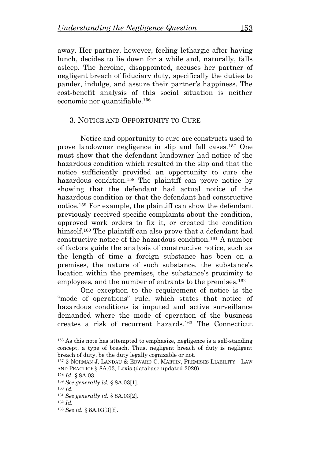away. Her partner, however, feeling lethargic after having lunch, decides to lie down for a while and, naturally, falls asleep. The heroine, disappointed, accuses her partner of negligent breach of fiduciary duty, specifically the duties to pander, indulge, and assure their partner's happiness. The cost-benefit analysis of this social situation is neither economic nor quantifiable.<sup>156</sup>

## 3. NOTICE AND OPPORTUNITY TO CURE

Notice and opportunity to cure are constructs used to prove landowner negligence in slip and fall cases.<sup>157</sup> One must show that the defendant-landowner had notice of the hazardous condition which resulted in the slip and that the notice sufficiently provided an opportunity to cure the hazardous condition. <sup>158</sup> The plaintiff can prove notice by showing that the defendant had actual notice of the hazardous condition or that the defendant had constructive notice. <sup>159</sup> For example, the plaintiff can show the defendant previously received specific complaints about the condition, approved work orders to fix it, or created the condition himself.<sup>160</sup> The plaintiff can also prove that a defendant had constructive notice of the hazardous condition.<sup>161</sup> A number of factors guide the analysis of constructive notice, such as the length of time a foreign substance has been on a premises, the nature of such substance, the substance's location within the premises, the substance's proximity to employees, and the number of entrants to the premises.<sup>162</sup>

One exception to the requirement of notice is the "mode of operations" rule, which states that notice of hazardous conditions is imputed and active surveillance demanded where the mode of operation of the business creates a risk of recurrent hazards. <sup>163</sup> The Connecticut

<sup>156</sup> As this note has attempted to emphasize, negligence is a self-standing concept, a type of breach. Thus, negligent breach of duty is negligent breach of duty, be the duty legally cognizable or not.

<sup>157</sup> 2 NORMAN J. LANDAU & EDWARD C. MARTIN, PREMISES LIABILITY—LAW AND PRACTICE § 8A.03, Lexis (database updated 2020).

<sup>158</sup> *Id.* § 8A.03.

<sup>159</sup> *See generally id.* § 8A.03[1].

<sup>160</sup> *Id.*

<sup>161</sup> *See generally id.* § 8A.03[2].

<sup>162</sup> *Id.*

<sup>163</sup> *See id.* § 8A.03[3][f].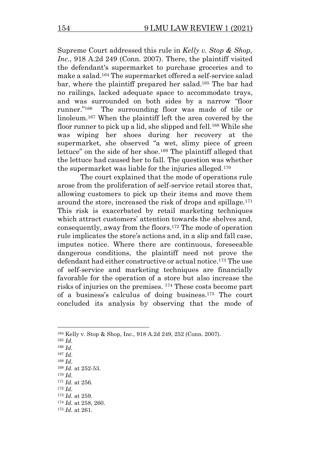Supreme Court addressed this rule in *Kelly v. Stop & Shop, Inc.*, 918 A.2d 249 (Conn. 2007). There, the plaintiff visited the defendant's supermarket to purchase groceries and to make a salad.<sup>164</sup> The supermarket offered a self-service salad bar, where the plaintiff prepared her salad.<sup>165</sup> The bar had no railings, lacked adequate space to accommodate trays, and was surrounded on both sides by a narrow "floor runner." 166 The surrounding floor was made of tile or linoleum.<sup>167</sup> When the plaintiff left the area covered by the floor runner to pick up a lid, she slipped and fell.<sup>168</sup> While she was wiping her shoes during her recovery at the supermarket, she observed "a wet, slimy piece of green lettuce" on the side of her shoe.<sup>169</sup> The plaintiff alleged that the lettuce had caused her to fall. The question was whether the supermarket was liable for the injuries alleged.<sup>170</sup>

The court explained that the mode of operations rule arose from the proliferation of self-service retail stores that, allowing customers to pick up their items and move them around the store, increased the risk of drops and spillage.<sup>171</sup> This risk is exacerbated by retail marketing techniques which attract customers' attention towards the shelves and, consequently, away from the floors. <sup>172</sup> The mode of operation rule implicates the store's actions and, in a slip and fall case, imputes notice. Where there are continuous, foreseeable dangerous conditions, the plaintiff need not prove the defendant had either constructive or actual notice. <sup>173</sup> The use of self-service and marketing techniques are financially favorable for the operation of a store but also increase the risks of injuries on the premises. <sup>174</sup> These costs become part of a business's calculus of doing business. <sup>175</sup> The court concluded its analysis by observing that the mode of

<sup>165</sup> *Id.*

- <sup>170</sup> *Id.*
- <sup>171</sup> *Id.* at 256.
- <sup>172</sup> *Id.*

- <sup>174</sup> *Id.* at 258, 260.
- <sup>175</sup> *Id.* at 261.

<sup>164</sup> Kelly v. Stop & Shop, Inc., 918 A.2d 249, 252 (Conn. 2007).

<sup>166</sup> *Id.* <sup>167</sup> *Id.*

<sup>168</sup> *Id.*

<sup>169</sup> *Id.* at 252-53.

<sup>173</sup> *Id.* at 259.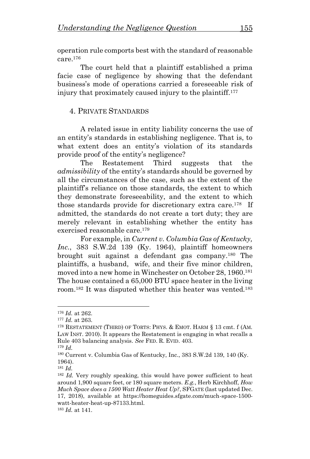operation rule comports best with the standard of reasonable  $\rm care.^{176}$ 

The court held that a plaintiff established a prima facie case of negligence by showing that the defendant business's mode of operations carried a foreseeable risk of injury that proximately caused injury to the plaintiff.<sup>177</sup>

## 4. PRIVATE STANDARDS

A related issue in entity liability concerns the use of an entity's standards in establishing negligence. That is, to what extent does an entity's violation of its standards provide proof of the entity's negligence?

The Restatement Third suggests that the *admissibility* of the entity's standards should be governed by all the circumstances of the case, such as the extent of the plaintiff's reliance on those standards, the extent to which they demonstrate foreseeability, and the extent to which those standards provide for discretionary extra care.<sup>178</sup> If admitted, the standards do not create a tort duty; they are merely relevant in establishing whether the entity has exercised reasonable care.<sup>179</sup>

For example, in *Current v. Columbia Gas of Kentucky, Inc.*, 383 S.W.2d 139 (Ky. 1964), plaintiff homeowners brought suit against a defendant gas company.<sup>180</sup> The plaintiffs, a husband, wife, and their five minor children, moved into a new home in Winchester on October 28, 1960.<sup>181</sup> The house contained a 65,000 BTU space heater in the living room.<sup>182</sup> It was disputed whether this heater was vented.<sup>183</sup>

<sup>176</sup> *Id.* at 262.

<sup>177</sup> *Id.* at 263.

<sup>178</sup> RESTATEMENT (THIRD) OF TORTS: PHYS. & EMOT. HARM § 13 cmt. f (AM. LAW INST. 2010). It appears the Restatement is engaging in what recalls a Rule 403 balancing analysis. *See* FED. R. EVID. 403.

<sup>179</sup> *Id.*

<sup>180</sup> Current v. Columbia Gas of Kentucky, Inc., 383 S.W.2d 139, 140 (Ky. 1964).

<sup>181</sup> *Id.*

<sup>182</sup> *Id.* Very roughly speaking, this would have power sufficient to heat around 1,900 square feet, or 180 square meters. *E.g.*, Herb Kirchhoff, *How Much Space does a 1500 Watt Heater Heat Up?*, SFGATE (last updated Dec. 17, 2018), available at https://homeguides.sfgate.com/much-space-1500 watt-heater-heat-up-87133.html.

<sup>183</sup> *Id.* at 141.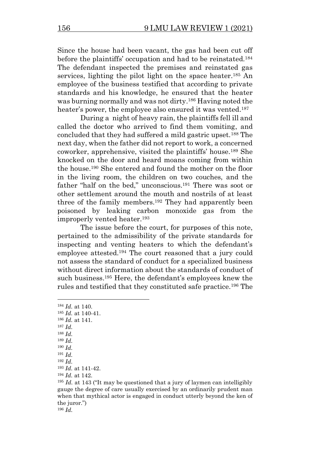Since the house had been vacant, the gas had been cut off before the plaintiffs' occupation and had to be reinstated.<sup>184</sup> The defendant inspected the premises and reinstated gas services, lighting the pilot light on the space heater.<sup>185</sup> An employee of the business testified that according to private standards and his knowledge, he ensured that the heater was burning normally and was not dirty. <sup>186</sup> Having noted the heater's power, the employee also ensured it was vented.<sup>187</sup>

During a night of heavy rain, the plaintiffs fell ill and called the doctor who arrived to find them vomiting, and concluded that they had suffered a mild gastric upset.<sup>188</sup> The next day, when the father did not report to work, a concerned coworker, apprehensive, visited the plaintiffs' house.<sup>189</sup> She knocked on the door and heard moans coming from within the house. <sup>190</sup> She entered and found the mother on the floor in the living room, the children on two couches, and the father "half on the bed," unconscious.<sup>191</sup> There was soot or other settlement around the mouth and nostrils of at least three of the family members. <sup>192</sup> They had apparently been poisoned by leaking carbon monoxide gas from the improperly vented heater.<sup>193</sup>

The issue before the court, for purposes of this note, pertained to the admissibility of the private standards for inspecting and venting heaters to which the defendant's employee attested.<sup>194</sup> The court reasoned that a jury could not assess the standard of conduct for a specialized business without direct information about the standards of conduct of such business. <sup>195</sup> Here, the defendant's employees knew the rules and testified that they constituted safe practice.<sup>196</sup> The

<sup>184</sup> *Id.* at 140. <sup>185</sup> *Id.* at 140-41. <sup>186</sup> *Id.* at 141. <sup>187</sup> *Id.* <sup>188</sup> *Id.* <sup>189</sup> *Id.* <sup>190</sup> *Id.* <sup>191</sup> *Id.* <sup>192</sup> *Id.* <sup>193</sup> *Id.* at 141-42. <sup>194</sup> *Id.* at 142.

<sup>195</sup> *Id.* at 143 ("It may be questioned that a jury of laymen can intelligibly gauge the degree of care usually exercised by an ordinarily prudent man when that mythical actor is engaged in conduct utterly beyond the ken of the juror.") <sup>196</sup> *Id.*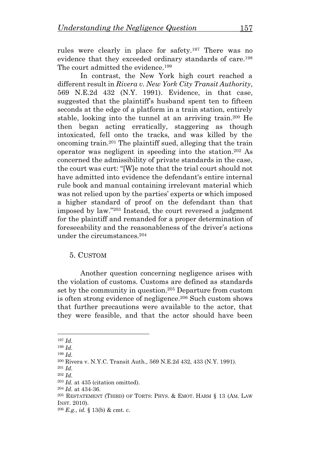rules were clearly in place for safety.<sup>197</sup> There was no evidence that they exceeded ordinary standards of care.<sup>198</sup> The court admitted the evidence.<sup>199</sup>

In contrast, the New York high court reached a different result in *Rivera v. New York City Transit Authority*, 569 N.E.2d 432 (N.Y. 1991). Evidence, in that case, suggested that the plaintiff's husband spent ten to fifteen seconds at the edge of a platform in a train station, entirely stable, looking into the tunnel at an arriving train. <sup>200</sup> He then began acting erratically, staggering as though intoxicated, fell onto the tracks, and was killed by the oncoming train.<sup>201</sup> The plaintiff sued, alleging that the train operator was negligent in speeding into the station. <sup>202</sup> As concerned the admissibility of private standards in the case, the court was curt: "[W]e note that the trial court should not have admitted into evidence the defendant's entire internal rule book and manual containing irrelevant material which was not relied upon by the parties' experts or which imposed a higher standard of proof on the defendant than that imposed by law."<sup>203</sup> Instead, the court reversed a judgment for the plaintiff and remanded for a proper determination of foreseeability and the reasonableness of the driver's actions under the circumstances.<sup>204</sup>

#### 5. CUSTOM

Another question concerning negligence arises with the violation of customs. Customs are defined as standards set by the community in question.<sup>205</sup> Departure from custom is often strong evidence of negligence.<sup>206</sup> Such custom shows that further precautions were available to the actor, that they were feasible, and that the actor should have been

<sup>197</sup> *Id.*

<sup>198</sup> *Id.*

<sup>199</sup> *Id.*

<sup>200</sup> Rivera v. N.Y.C. Transit Auth., 569 N.E.2d 432, 433 (N.Y. 1991).

<sup>201</sup> *Id.*

<sup>202</sup> *Id.*

<sup>203</sup> *Id.* at 435 (citation omitted).

<sup>204</sup> *Id.* at 434-36.

<sup>205</sup> RESTATEMENT (THIRD) OF TORTS: PHYS. & EMOT. HARM § 13 (AM. LAW INST. 2010).

<sup>206</sup> *E.g.*, *id.* § 13(b) & cmt. c.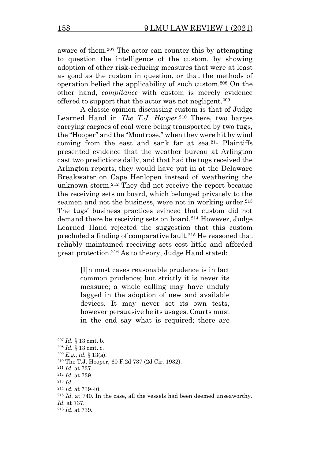aware of them.<sup>207</sup> The actor can counter this by attempting to question the intelligence of the custom, by showing adoption of other risk-reducing measures that were at least as good as the custom in question, or that the methods of operation belied the applicability of such custom.<sup>208</sup> On the other hand, *compliance* with custom is merely evidence offered to support that the actor was not negligent.<sup>209</sup>

A classic opinion discussing custom is that of Judge Learned Hand in *The T.J. Hooper*. <sup>210</sup> There, two barges carrying cargoes of coal were being transported by two tugs, the "Hooper" and the "Montrose," when they were hit by wind coming from the east and sank far at sea.<sup>211</sup> Plaintiffs presented evidence that the weather bureau at Arlington cast two predictions daily, and that had the tugs received the Arlington reports, they would have put in at the Delaware Breakwater on Cape Henlopen instead of weathering the unknown storm.<sup>212</sup> They did not receive the report because the receiving sets on board, which belonged privately to the seamen and not the business, were not in working order.<sup>213</sup> The tugs' business practices evinced that custom did not demand there be receiving sets on board.<sup>214</sup> However, Judge Learned Hand rejected the suggestion that this custom precluded a finding of comparative fault.<sup>215</sup> He reasoned that reliably maintained receiving sets cost little and afforded great protection.<sup>216</sup> As to theory, Judge Hand stated:

> [I]n most cases reasonable prudence is in fact common prudence; but strictly it is never its measure; a whole calling may have unduly lagged in the adoption of new and available devices. It may never set its own tests, however persuasive be its usages. Courts must in the end say what is required; there are

<sup>207</sup> *Id.* § 13 cmt. b.

<sup>208</sup> *Id.* § 13 cmt. c.

<sup>209</sup> *E.g.*, *id.* § 13(a).

<sup>210</sup> The T.J. Hooper, 60 F.2d 737 (2d Cir. 1932).

<sup>211</sup> *Id.* at 737.

<sup>212</sup> *Id.* at 739.

<sup>213</sup> *Id.*

<sup>214</sup> *Id.* at 739-40.

<sup>215</sup> *Id.* at 740. In the case, all the vessels had been deemed unseaworthy.

*Id.* at 737.

<sup>216</sup> *Id.* at 739.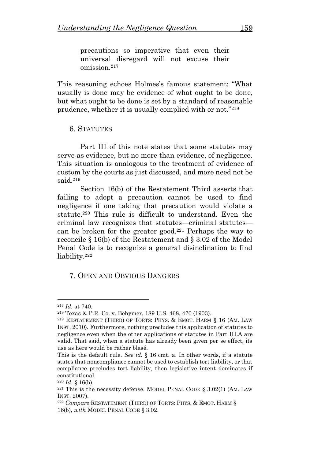precautions so imperative that even their universal disregard will not excuse their omission.<sup>217</sup>

This reasoning echoes Holmes's famous statement: "What usually is done may be evidence of what ought to be done, but what ought to be done is set by a standard of reasonable prudence, whether it is usually complied with or not."<sup>218</sup>

## 6. STATUTES

Part III of this note states that some statutes may serve as evidence, but no more than evidence, of negligence. This situation is analogous to the treatment of evidence of custom by the courts as just discussed, and more need not be said. 219

Section 16(b) of the Restatement Third asserts that failing to adopt a precaution cannot be used to find negligence if one taking that precaution would violate a statute.<sup>220</sup> This rule is difficult to understand. Even the criminal law recognizes that statutes—criminal statutes can be broken for the greater good.<sup>221</sup> Perhaps the way to reconcile § 16(b) of the Restatement and § 3.02 of the Model Penal Code is to recognize a general disinclination to find liability.<sup>222</sup>

## 7. OPEN AND OBVIOUS DANGERS

<sup>217</sup> *Id.* at 740.

<sup>218</sup> Texas & P.R. Co. v. Behymer, 189 U.S. 468, 470 (1903).

<sup>219</sup> RESTATEMENT (THIRD) OF TORTS: PHYS. & EMOT. HARM § 16 (AM. LAW INST. 2010). Furthermore, nothing precludes this application of statutes to negligence even when the other applications of statutes in Part III.A are valid. That said, when a statute has already been given per se effect, its use as here would be rather blasé.

This is the default rule. *See id.* § 16 cmt. a. In other words, if a statute states that noncompliance cannot be used to establish tort liability, or that compliance precludes tort liability, then legislative intent dominates if constitutional.

 $220$  *Id.* § 16(b).

 $221$  This is the necessity defense. MODEL PENAL CODE § 3.02(1) (AM. LAW INST. 2007).

<sup>222</sup> *Compare* RESTATEMENT (THIRD) OF TORTS: PHYS. & EMOT. HARM § 16(b), *with* MODEL PENAL CODE § 3.02.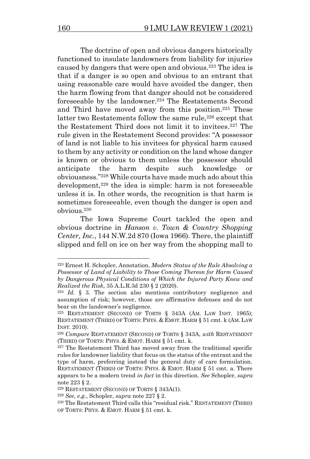The doctrine of open and obvious dangers historically functioned to insulate landowners from liability for injuries caused by dangers that were open and obvious.<sup>223</sup> The idea is that if a danger is so open and obvious to an entrant that using reasonable care would have avoided the danger, then the harm flowing from that danger should not be considered foreseeable by the landowner.<sup>224</sup> The Restatements Second and Third have moved away from this position. <sup>225</sup> These latter two Restatements follow the same rule,<sup>226</sup> except that the Restatement Third does not limit it to invitees. <sup>227</sup> The rule given in the Restatement Second provides: "A possessor of land is not liable to his invitees for physical harm caused to them by any activity or condition on the land whose danger is known or obvious to them unless the possessor should anticipate the harm despite such knowledge or obviousness."<sup>228</sup> While courts have made much ado about this development,<sup>229</sup> the idea is simple: harm is not foreseeable unless it is. In other words, the recognition is that harm is sometimes foreseeable, even though the danger is open and obvious.<sup>230</sup>

The Iowa Supreme Court tackled the open and obvious doctrine in *Hanson v. Town & Country Shopping Center, Inc.*, 144 N.W.2d 870 (Iowa 1966). There, the plaintiff slipped and fell on ice on her way from the shopping mall to

<sup>223</sup> Ernest H. Schopler, Annotation, *Modern Status of the Rule Absolving a Possessor of Land of Liability to Those Coming Thereon for Harm Caused by Dangerous Physical Conditions of Which the Injured Party Knew and Realized the Risk*, 35 A.L.R.3d 230 § 2 (2020).

<sup>224</sup> *Id.* § 3. The section also mentions contributory negligence and assumption of risk; however, those are affirmative defenses and do not bear on the landowner's negligence.

<sup>&</sup>lt;sup>225</sup> RESTATEMENT (SECOND) OF TORTS § 343A (AM. LAW INST. 1965); RESTATEMENT (THIRD) OF TORTS: PHYS. & EMOT. HARM § 51 cmt. k (AM. LAW INST. 2010).

<sup>226</sup> *Compare* RESTATEMENT (SECOND) OF TORTS § 343A, *with* RESTATEMENT (THIRD) OF TORTS: PHYS. & EMOT. HARM § 51 cmt. k.

 $227$  The Restatement Third has moved away from the traditional specific rules for landowner liability that focus on the status of the entrant and the type of harm, preferring instead the general duty of care formulation. RESTATEMENT (THIRD) OF TORTS: PHYS. & EMOT. HARM § 51 cmt. a. There appears to be a modern trend *in fact* in this direction. *See* Schopler, *supra* note 223 § 2.

<sup>228</sup> RESTATEMENT (SECOND) OF TORTS § 343A(1).

<sup>229</sup> *See, e.g.*, Schopler, *supra* note 227 § 2.

<sup>230</sup> The Restatement Third calls this "residual risk." RESTATEMENT (THIRD) OF TORTS: PHYS. & EMOT. HARM § 51 cmt. k.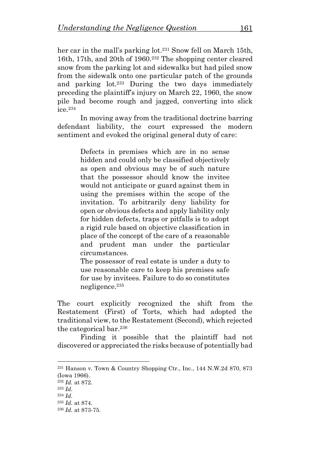her car in the mall's parking lot.<sup>231</sup> Snow fell on March 15th, 16th, 17th, and 20th of 1960.<sup>232</sup> The shopping center cleared snow from the parking lot and sidewalks but had piled snow from the sidewalk onto one particular patch of the grounds and parking lot.<sup>233</sup> During the two days immediately preceding the plaintiff's injury on March 22, 1960, the snow pile had become rough and jagged, converting into slick ice.<sup>234</sup>

In moving away from the traditional doctrine barring defendant liability, the court expressed the modern sentiment and evoked the original general duty of care:

> Defects in premises which are in no sense hidden and could only be classified objectively as open and obvious may be of such nature that the possessor should know the invitee would not anticipate or guard against them in using the premises within the scope of the invitation. To arbitrarily deny liability for open or obvious defects and apply liability only for hidden defects, traps or pitfalls is to adopt a rigid rule based on objective classification in place of the concept of the care of a reasonable and prudent man under the particular circumstances.

> The possessor of real estate is under a duty to use reasonable care to keep his premises safe for use by invitees. Failure to do so constitutes negligence.<sup>235</sup>

The court explicitly recognized the shift from the Restatement (First) of Torts, which had adopted the traditional view, to the Restatement (Second), which rejected the categorical bar.<sup>236</sup>

Finding it possible that the plaintiff had not discovered or appreciated the risks because of potentially bad

 $231$  Hanson v. Town & Country Shopping Ctr., Inc., 144 N.W.2d 870, 873 (Iowa 1966).

<sup>232</sup> *Id.* at 872.

<sup>233</sup> *Id.*

<sup>234</sup> *Id.*

<sup>235</sup> *Id.* at 874.

<sup>236</sup> *Id.* at 873-75.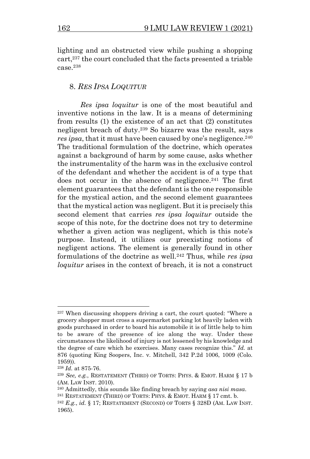lighting and an obstructed view while pushing a shopping cart,<sup>237</sup> the court concluded that the facts presented a triable  $case.238$ 

## 8. *RES IPSA LOQUITUR*

*Res ipsa loquitur* is one of the most beautiful and inventive notions in the law. It is a means of determining from results (1) the existence of an act that (2) constitutes negligent breach of duty. <sup>239</sup> So bizarre was the result, says *res ipsa*, that it must have been caused by one's negligence.<sup>240</sup> The traditional formulation of the doctrine, which operates against a background of harm by some cause, asks whether the instrumentality of the harm was in the exclusive control of the defendant and whether the accident is of a type that does not occur in the absence of negligence.<sup>241</sup> The first element guarantees that the defendant is the one responsible for the mystical action, and the second element guarantees that the mystical action was negligent. But it is precisely this second element that carries *res ipsa loquitur* outside the scope of this note, for the doctrine does not try to determine whether a given action was negligent, which is this note's purpose. Instead, it utilizes our preexisting notions of negligent actions. The element is generally found in other formulations of the doctrine as well.<sup>242</sup> Thus, while *res ipsa loquitur* arises in the context of breach, it is not a construct

<sup>237</sup> When discussing shoppers driving a cart, the court quoted: "Where a grocery shopper must cross a supermarket parking lot heavily laden with goods purchased in order to board his automobile it is of little help to him to be aware of the presence of ice along the way. Under these circumstances the likelihood of injury is not lessened by his knowledge and the degree of care which he exercises. Many cases recognize this." *Id.* at 876 (quoting King Soopers, Inc. v. Mitchell, 342 P.2d 1006, 1009 (Colo. 1959)).

<sup>238</sup> *Id.* at 875-76.

<sup>239</sup> *See, e.g.*, RESTATEMENT (THIRD) OF TORTS: PHYS. & EMOT. HARM § 17 b (AM. LAW INST. 2010).

<sup>240</sup> Admittedly, this sounds like finding breach by saying *asa nisi masa*.

<sup>&</sup>lt;sup>241</sup> RESTATEMENT (THIRD) OF TORTS: PHYS. & EMOT. HARM  $\S 17$  cmt. b.

<sup>242</sup> *E.g.*, *id.* § 17; RESTATEMENT (SECOND) OF TORTS § 328D (AM. LAW INST. 1965).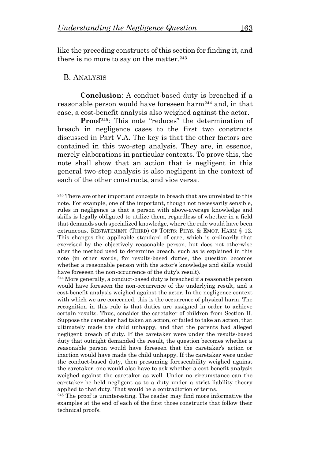like the preceding constructs of this section for finding it, and there is no more to say on the matter. $243$ 

## B. ANALYSIS

**Conclusion**: A conduct-based duty is breached if a reasonable person would have foreseen harm<sup>244</sup> and, in that case, a cost-benefit analysis also weighed against the actor.

**Proof**245: This note "reduces" the determination of breach in negligence cases to the first two constructs discussed in Part V.A. The key is that the other factors are contained in this two-step analysis. They are, in essence, merely elaborations in particular contexts. To prove this, the note shall show that an action that is negligent in this general two-step analysis is also negligent in the context of each of the other constructs, and vice versa.

<sup>&</sup>lt;sup>243</sup> There are other important concepts in breach that are unrelated to this note. For example, one of the important, though not necessarily sensible, rules in negligence is that a person with above-average knowledge and skills is legally obligated to utilize them, regardless of whether in a field that demands such specialized knowledge, where the rule would have been extraneous. RESTATEMENT (THIRD) OF TORTS: PHYS. & EMOT. HARM § 12. This changes the applicable standard of care, which is ordinarily that exercised by the objectively reasonable person, but does not otherwise alter the method used to determine breach, such as is explained in this note (in other words, for results-based duties, the question becomes whether a reasonable person with the actor's knowledge and skills would have foreseen the non-occurrence of the duty's result).

<sup>244</sup> More generally, a conduct-based duty is breached if a reasonable person would have foreseen the non-occurrence of the underlying result, and a cost-benefit analysis weighed against the actor. In the negligence context with which we are concerned, this is the occurrence of physical harm. The recognition in this rule is that duties are assigned in order to achieve certain results. Thus, consider the caretaker of children from Section II. Suppose the caretaker had taken an action, or failed to take an action, that ultimately made the child unhappy, and that the parents had alleged negligent breach of duty. If the caretaker were under the results-based duty that outright demanded the result, the question becomes whether a reasonable person would have foreseen that the caretaker's action or inaction would have made the child unhappy. If the caretaker were under the conduct-based duty, then presuming foreseeability weighed against the caretaker, one would also have to ask whether a cost-benefit analysis weighed against the caretaker as well. Under no circumstance can the caretaker be held negligent as to a duty under a strict liability theory applied to that duty. That would be a contradiction of terms.

<sup>245</sup> The proof is uninteresting. The reader may find more informative the examples at the end of each of the first three constructs that follow their technical proofs.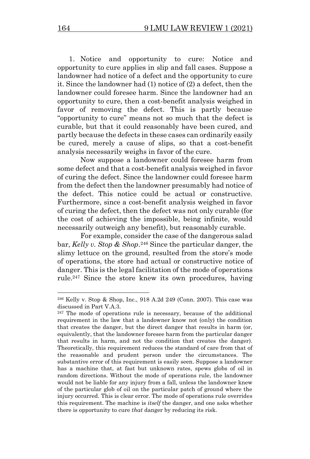1. Notice and opportunity to cure: Notice and opportunity to cure applies in slip and fall cases. Suppose a landowner had notice of a defect and the opportunity to cure it. Since the landowner had (1) notice of (2) a defect, then the landowner could foresee harm. Since the landowner had an opportunity to cure, then a cost-benefit analysis weighed in favor of removing the defect. This is partly because "opportunity to cure" means not so much that the defect is curable, but that it could reasonably have been cured, and partly because the defects in these cases can ordinarily easily be cured, merely a cause of slips, so that a cost-benefit analysis necessarily weighs in favor of the cure.

Now suppose a landowner could foresee harm from some defect and that a cost-benefit analysis weighed in favor of curing the defect. Since the landowner could foresee harm from the defect then the landowner presumably had notice of the defect. This notice could be actual or constructive. Furthermore, since a cost-benefit analysis weighed in favor of curing the defect, then the defect was not only curable (for the cost of achieving the impossible, being infinite, would necessarily outweigh any benefit), but reasonably curable.

For example, consider the case of the dangerous salad bar, *Kelly v. Stop & Shop*. <sup>246</sup> Since the particular danger, the slimy lettuce on the ground, resulted from the store's mode of operations, the store had actual or constructive notice of danger. This is the legal facilitation of the mode of operations rule.<sup>247</sup> Since the store knew its own procedures, having

<sup>246</sup> Kelly v. Stop & Shop, Inc., 918 A.2d 249 (Conn. 2007). This case was discussed in Part V.A.3.

<sup>&</sup>lt;sup>247</sup> The mode of operations rule is necessary, because of the additional requirement in the law that a landowner know not (only) the condition that creates the danger, but the direct danger that results in harm (or, equivalently, that the landowner foresee harm from the particular danger that results in harm, and not the condition that creates the danger). Theoretically, this requirement reduces the standard of care from that of the reasonable and prudent person under the circumstances. The substantive error of this requirement is easily seen. Suppose a landowner has a machine that, at fast but unknown rates, spews globs of oil in random directions. Without the mode of operations rule, the landowner would not be liable for any injury from a fall, unless the landowner knew of the particular glob of oil on the particular patch of ground where the injury occurred. This is clear error. The mode of operations rule overrides this requirement. The machine is *itself* the danger, and one asks whether there is opportunity to cure *that* danger by reducing its risk.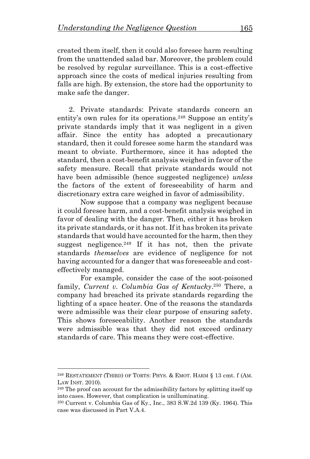created them itself, then it could also foresee harm resulting from the unattended salad bar. Moreover, the problem could be resolved by regular surveillance. This is a cost-effective approach since the costs of medical injuries resulting from falls are high. By extension, the store had the opportunity to make safe the danger.

2. Private standards: Private standards concern an entity's own rules for its operations.<sup>248</sup> Suppose an entity's private standards imply that it was negligent in a given affair. Since the entity has adopted a precautionary standard, then it could foresee some harm the standard was meant to obviate. Furthermore, since it has adopted the standard, then a cost-benefit analysis weighed in favor of the safety measure. Recall that private standards would not have been admissible (hence suggested negligence) *unless* the factors of the extent of foreseeability of harm and discretionary extra care weighed in favor of admissibility.

Now suppose that a company was negligent because it could foresee harm, and a cost-benefit analysis weighed in favor of dealing with the danger. Then, either it has broken its private standards, or it has not. If it has broken its private standards that would have accounted for the harm, then they suggest negligence.<sup>249</sup> If it has not, then the private standards *themselves* are evidence of negligence for not having accounted for a danger that was foreseeable and costeffectively managed.

For example, consider the case of the soot-poisoned family, *Current v. Columbia Gas of Kentucky*. <sup>250</sup> There, a company had breached its private standards regarding the lighting of a space heater. One of the reasons the standards were admissible was their clear purpose of ensuring safety. This shows foreseeability. Another reason the standards were admissible was that they did not exceed ordinary standards of care. This means they were cost-effective.

<sup>248</sup> RESTATEMENT (THIRD) OF TORTS: PHYS. & EMOT. HARM § 13 cmt. f (AM. LAW INST. 2010).

<sup>249</sup> The proof can account for the admissibility factors by splitting itself up into cases. However, that complication is unilluminating.

 $250$  Current v. Columbia Gas of Ky., Inc., 383 S.W.2d 139 (Ky. 1964). This case was discussed in Part V.A.4.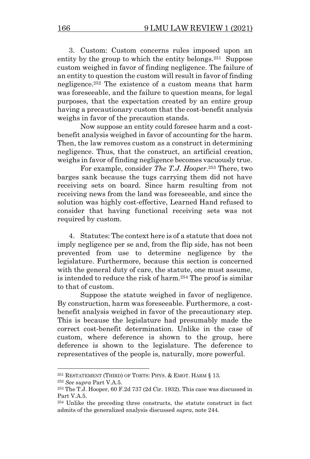3. Custom: Custom concerns rules imposed upon an entity by the group to which the entity belongs.<sup>251</sup> Suppose custom weighed in favor of finding negligence. The failure of an entity to question the custom will result in favor of finding negligence.<sup>252</sup> The existence of a custom means that harm was foreseeable, and the failure to question means, for legal purposes, that the expectation created by an entire group having a precautionary custom that the cost-benefit analysis weighs in favor of the precaution stands.

Now suppose an entity could foresee harm and a costbenefit analysis weighed in favor of accounting for the harm. Then, the law removes custom as a construct in determining negligence. Thus, that the construct, an artificial creation, weighs in favor of finding negligence becomes vacuously true.

For example, consider *The T.J. Hooper*. <sup>253</sup> There, two barges sank because the tugs carrying them did not have receiving sets on board. Since harm resulting from not receiving news from the land was foreseeable, and since the solution was highly cost-effective, Learned Hand refused to consider that having functional receiving sets was not required by custom.

4. Statutes: The context here is of a statute that does not imply negligence per se and, from the flip side, has not been prevented from use to determine negligence by the legislature. Furthermore, because this section is concerned with the general duty of care, the statute, one must assume, is intended to reduce the risk of harm.<sup>254</sup> The proof is similar to that of custom.

Suppose the statute weighed in favor of negligence. By construction, harm was foreseeable. Furthermore, a costbenefit analysis weighed in favor of the precautionary step. This is because the legislature had presumably made the correct cost-benefit determination. Unlike in the case of custom, where deference is shown to the group, here deference is shown to the legislature. The deference to representatives of the people is, naturally, more powerful.

<sup>251</sup> RESTATEMENT (THIRD) OF TORTS: PHYS. & EMOT. HARM § 13.

<sup>252</sup> *See supra* Part V.A.5.

<sup>253</sup> The T.J. Hooper, 60 F.2d 737 (2d Cir. 1932). This case was discussed in Part V.A.5.

<sup>254</sup> Unlike the preceding three constructs, the statute construct in fact admits of the generalized analysis discussed *supra*, note 244.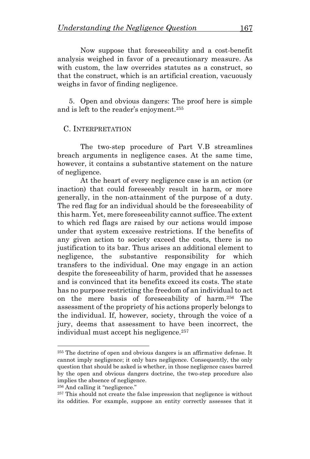Now suppose that foreseeability and a cost-benefit analysis weighed in favor of a precautionary measure. As with custom, the law overrides statutes as a construct, so that the construct, which is an artificial creation, vacuously weighs in favor of finding negligence.

5. Open and obvious dangers: The proof here is simple and is left to the reader's enjoyment.<sup>255</sup>

## C. INTERPRETATION

The two-step procedure of Part V.B streamlines breach arguments in negligence cases. At the same time, however, it contains a substantive statement on the nature of negligence.

At the heart of every negligence case is an action (or inaction) that could foreseeably result in harm, or more generally, in the non-attainment of the purpose of a duty. The red flag for an individual should be the foreseeability of this harm. Yet, mere foreseeability cannot suffice. The extent to which red flags are raised by our actions would impose under that system excessive restrictions. If the benefits of any given action to society exceed the costs, there is no justification to its bar. Thus arises an additional element to negligence, the substantive responsibility for which transfers to the individual. One may engage in an action despite the foreseeability of harm, provided that he assesses and is convinced that its benefits exceed its costs. The state has no purpose restricting the freedom of an individual to act on the mere basis of foreseeability of harm.<sup>256</sup> The assessment of the propriety of his actions properly belongs to the individual. If, however, society, through the voice of a jury, deems that assessment to have been incorrect, the individual must accept his negligence.<sup>257</sup>

<sup>255</sup> The doctrine of open and obvious dangers is an affirmative defense. It cannot imply negligence; it only bars negligence. Consequently, the only question that should be asked is whether, in those negligence cases barred by the open and obvious dangers doctrine, the two-step procedure also implies the absence of negligence.

<sup>256</sup> And calling it "negligence."

<sup>257</sup> This should not create the false impression that negligence is without its oddities. For example, suppose an entity correctly assesses that it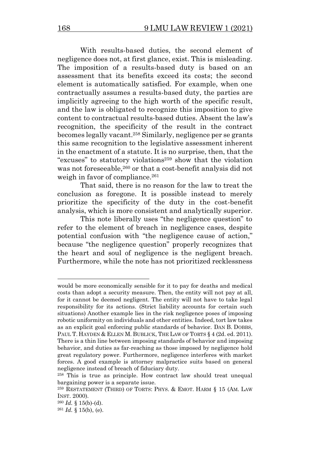With results-based duties, the second element of negligence does not, at first glance, exist. This is misleading. The imposition of a results-based duty is based on an assessment that its benefits exceed its costs; the second element is automatically satisfied. For example, when one contractually assumes a results-based duty, the parties are implicitly agreeing to the high worth of the specific result, and the law is obligated to recognize this imposition to give content to contractual results-based duties. Absent the law's recognition, the specificity of the result in the contract becomes legally vacant. <sup>258</sup> Similarly, negligence per se grants this same recognition to the legislative assessment inherent in the enactment of a statute. It is no surprise, then, that the "excuses" to statutory violations<sup>259</sup> show that the violation was not foreseeable,<sup>260</sup> or that a cost-benefit analysis did not weigh in favor of compliance.<sup>261</sup>

That said, there is no reason for the law to treat the conclusion as foregone. It is possible instead to merely prioritize the specificity of the duty in the cost-benefit analysis, which is more consistent and analytically superior.

This note liberally uses "the negligence question" to refer to the element of breach in negligence cases, despite potential confusion with "the negligence cause of action," because "the negligence question" properly recognizes that the heart and soul of negligence is the negligent breach. Furthermore, while the note has not prioritized recklessness

would be more economically sensible for it to pay for deaths and medical costs than adopt a security measure. Then, the entity will not pay at all, for it cannot be deemed negligent. The entity will not have to take legal responsibility for its actions. (Strict liability accounts for certain such situations) Another example lies in the risk negligence poses of imposing robotic uniformity on individuals and other entities. Indeed, tort law takes as an explicit goal enforcing public standards of behavior. DAN B. DOBBS, PAUL T. HAYDEN & ELLEN M. BUBLICK, THE LAW OF TORTS § 4 (2d. ed. 2011). There is a thin line between imposing standards of behavior and imposing behavior, and duties as far-reaching as those imposed by negligence hold great regulatory power. Furthermore, negligence interferes with market forces. A good example is attorney malpractice suits based on general negligence instead of breach of fiduciary duty.

<sup>258</sup> This is true as principle. How contract law should treat unequal bargaining power is a separate issue.

<sup>259</sup> RESTATEMENT (THIRD) OF TORTS: PHYS. & EMOT. HARM § 15 (AM. LAW INST. 2000).

 $260$  *Id.* § 15(b)-(d).

 $261$  *Id.* § 15(b), (e).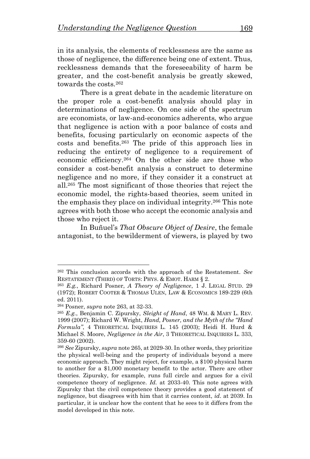in its analysis, the elements of recklessness are the same as those of negligence, the difference being one of extent. Thus, recklessness demands that the foreseeability of harm be greater, and the cost-benefit analysis be greatly skewed, towards the costs.<sup>262</sup>

There is a great debate in the academic literature on the proper role a cost-benefit analysis should play in determinations of negligence. On one side of the spectrum are economists, or law-and-economics adherents, who argue that negligence is action with a poor balance of costs and benefits, focusing particularly on economic aspects of the costs and benefits.<sup>263</sup> The pride of this approach lies in reducing the entirety of negligence to a requirement of economic efficiency.<sup>264</sup> On the other side are those who consider a cost-benefit analysis a construct to determine negligence and no more, if they consider it a construct at all. <sup>265</sup> The most significant of those theories that reject the economic model, the rights-based theories, seem united in the emphasis they place on individual integrity.<sup>266</sup> This note agrees with both those who accept the economic analysis and those who reject it.

In Buñuel's *That Obscure Object of Desire*, the female antagonist, to the bewilderment of viewers, is played by two

<sup>262</sup> This conclusion accords with the approach of the Restatement. *See* RESTATEMENT (THIRD) OF TORTS: PHYS. & EMOT. HARM § 2.

<sup>263</sup> *E.g.*, Richard Posner, *A Theory of Negligence*, 1 J. LEGAL STUD. 29 (1972); ROBERT COOTER & THOMAS ULEN, LAW & ECONOMICS 189-229 (6th ed. 2011).

<sup>264</sup> Posner, *supra* note 263, at 32-33.

<sup>265</sup> *E.g.*, Benjamin C. Zipursky, *Sleight of Hand*, 48 WM. & MARY L. REV. 1999 (2007); Richard W. Wright, *Hand, Posner, and the Myth of the "Hand Formula"*, 4 THEORETICAL INQUIRIES L. 145 (2003); Heidi H. Hurd & Michael S. Moore, *Negligence in the Air*, 3 THEORETICAL INQUIRIES L. 333, 359-60 (2002).

<sup>266</sup> *See* Zipursky, *supra* note 265, at 2029-30. In other words, they prioritize the physical well-being and the property of individuals beyond a mere economic approach. They might reject, for example, a \$100 physical harm to another for a \$1,000 monetary benefit to the actor. There are other theories. Zipursky, for example, runs full circle and argues for a civil competence theory of negligence. *Id.* at 2033-40. This note agrees with Zipursky that the civil competence theory provides a good statement of negligence, but disagrees with him that it carries content, *id.* at 2039. In particular, it is unclear how the content that he sees to it differs from the model developed in this note.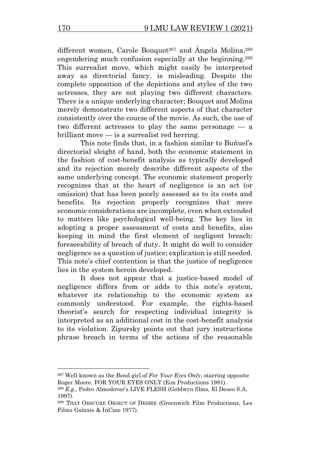different women, Carole Bouquet<sup>267</sup> and Ángela Molina,<sup>268</sup> engendering much confusion especially at the beginning.<sup>269</sup> This surrealist move, which might easily be interpreted away as directorial fancy, is misleading. Despite the complete opposition of the depictions and styles of the two actresses, they are not playing two different characters. There is a unique underlying character; Bouquet and Molina merely demonstrate two different aspects of that character consistently over the course of the movie. As such, the use of two different actresses to play the same personage — a brilliant move — is a surrealist red herring.

This note finds that, in a fashion similar to Buñuel's directorial sleight of hand, both the economic statement in the fashion of cost-benefit analysis as typically developed and its rejection merely describe different aspects of the same underlying concept. The economic statement properly recognizes that at the heart of negligence is an act (or omission) that has been poorly assessed as to its costs and benefits. Its rejection properly recognizes that mere economic considerations are incomplete, even when extended to matters like psychological well-being. The key lies in adopting a proper assessment of costs and benefits, also keeping in mind the first element of negligent breach: foreseeability of breach of duty. It might do well to consider negligence as a question of justice; explication is still needed. This note's chief contention is that the justice of negligence lies in the system herein developed.

It does not appear that a justice-based model of negligence differs from or adds to this note's system, whatever its relationship to the economic system as commonly understood. For example, the rights-based theorist's search for respecting individual integrity is interpreted as an additional cost in the cost-benefit analysis to its violation. Zipursky points out that jury instructions phrase breach in terms of the actions of the reasonable

<sup>267</sup> Well-known as the Bond girl of *For Your Eyes Only*, starring opposite Roger Moore. FOR YOUR EYES ONLY (Eon Productions 1981).

<sup>268</sup> *E.g.*, Pedro Almodovar's LIVE FLESH (Goldwyn films, El Deseo S.A. 1997).

<sup>269</sup> THAT OBSCURE OBJECT OF DESIRE (Greenwich Film Productions, Les Films Galaxie & InCine 1977).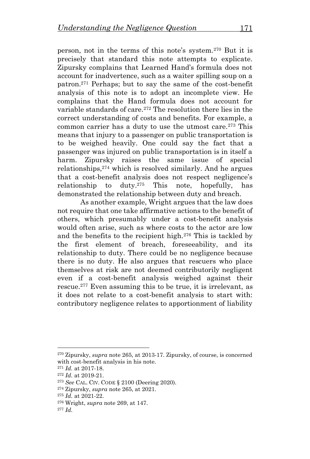person, not in the terms of this note's system.<sup>270</sup> But it is precisely that standard this note attempts to explicate. Zipursky complains that Learned Hand's formula does not account for inadvertence, such as a waiter spilling soup on a patron.<sup>271</sup> Perhaps; but to say the same of the cost-benefit analysis of this note is to adopt an incomplete view. He complains that the Hand formula does not account for variable standards of care.<sup>272</sup> The resolution there lies in the correct understanding of costs and benefits. For example, a common carrier has a duty to use the utmost care.<sup>273</sup> This means that injury to a passenger on public transportation is to be weighed heavily. One could say the fact that a passenger was injured on public transportation is in itself a harm. Zipursky raises the same issue of special relationships,<sup>274</sup> which is resolved similarly. And he argues that a cost-benefit analysis does not respect negligence's relationship to duty.<sup>275</sup> This note, hopefully, has demonstrated the relationship between duty and breach.

As another example, Wright argues that the law does not require that one take affirmative actions to the benefit of others, which presumably under a cost-benefit analysis would often arise, such as where costs to the actor are low and the benefits to the recipient high.<sup>276</sup> This is tackled by the first element of breach, foreseeability, and its relationship to duty. There could be no negligence because there is no duty. He also argues that rescuers who place themselves at risk are not deemed contributorily negligent even if a cost-benefit analysis weighed against their rescue.<sup>277</sup> Even assuming this to be true, it is irrelevant, as it does not relate to a cost-benefit analysis to start with: contributory negligence relates to apportionment of liability

<sup>270</sup> Zipursky, *supra* note 265, at 2013-17. Zipursky, of course, is concerned with cost-benefit analysis in his note.

<sup>271</sup> *Id.* at 2017-18.

<sup>272</sup> *Id.* at 2019-21.

<sup>273</sup> *See* CAL. CIV. CODE § 2100 (Deering 2020).

<sup>274</sup> Zipursky, *supra* note 265, at 2021.

<sup>275</sup> *Id.* at 2021-22.

<sup>276</sup> Wright, *supra* note 269, at 147.

<sup>277</sup> *Id.*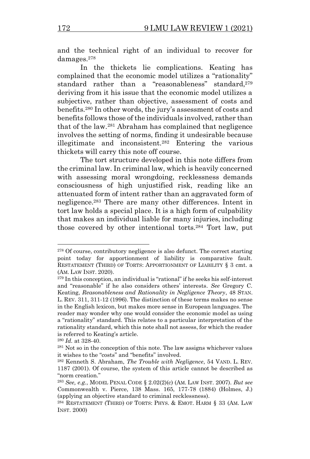and the technical right of an individual to recover for damages.<sup>278</sup>

In the thickets lie complications. Keating has complained that the economic model utilizes a "rationality" standard rather than a "reasonableness" standard,<sup>279</sup> deriving from it his issue that the economic model utilizes a subjective, rather than objective, assessment of costs and benefits.<sup>280</sup> In other words, the jury's assessment of costs and benefits follows those of the individuals involved, rather than that of the law.<sup>281</sup> Abraham has complained that negligence involves the setting of norms, finding it undesirable because illegitimate and inconsistent.<sup>282</sup> Entering the various thickets will carry this note off course.

The tort structure developed in this note differs from the criminal law. In criminal law, which is heavily concerned with assessing moral wrongdoing, recklessness demands consciousness of high unjustified risk, reading like an attenuated form of intent rather than an aggravated form of negligence.<sup>283</sup> There are many other differences. Intent in tort law holds a special place. It is a high form of culpability that makes an individual liable for many injuries, including those covered by other intentional torts.<sup>284</sup> Tort law, put

<sup>278</sup> Of course, contributory negligence is also defunct. The correct starting point today for apportionment of liability is comparative fault. RESTATEMENT (THIRD) OF TORTS: APPORTIONMENT OF LIABILITY § 3 cmt. a (AM. LAW INST. 2020).

<sup>279</sup> In this conception, an individual is "rational" if he seeks his self-interest and "reasonable" if he also considers others' interests. *See* Gregory C. Keating, *Reasonableness and Rationality in Negligence Theory*, 48 STAN. L. REV. 311, 311-12 (1996). The distinction of these terms makes no sense in the English lexicon, but makes more sense in European languages. The reader may wonder why one would consider the economic model as using a "rationality" standard. This relates to a particular interpretation of the rationality standard, which this note shall not assess, for which the reader is referred to Keating's article.

<sup>280</sup> *Id.* at 328-40.

<sup>281</sup> Not so in the conception of this note. The law assigns whichever values it wishes to the "costs" and "benefits" involved.

<sup>282</sup> Kenneth S. Abraham, *The Trouble with Negligence*, 54 VAND. L. REV. 1187 (2001). Of course, the system of this article cannot be described as "norm creation."

<sup>283</sup> *See, e.g.*, MODEL PENAL CODE § 2.02(2)(c) (AM. LAW INST. 2007). *But see*  Commonwealth v. Pierce, 138 Mass. 165, 177-78 (1884) (Holmes, J.) (applying an objective standard to criminal recklessness).

<sup>284</sup> RESTATEMENT (THIRD) OF TORTS: PHYS. & EMOT. HARM § 33 (AM. LAW INST. 2000)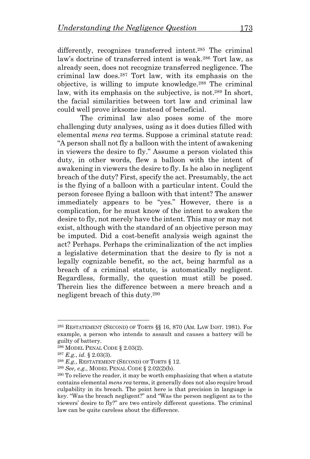differently, recognizes transferred intent.<sup>285</sup> The criminal law's doctrine of transferred intent is weak.<sup>286</sup> Tort law, as already seen, does not recognize transferred negligence. The criminal law does.<sup>287</sup> Tort law, with its emphasis on the objective, is willing to impute knowledge.<sup>288</sup> The criminal law, with its emphasis on the subjective, is not.<sup>289</sup> In short, the facial similarities between tort law and criminal law could well prove irksome instead of beneficial.

The criminal law also poses some of the more challenging duty analyses, using as it does duties filled with elemental *mens rea* terms. Suppose a criminal statute read: "A person shall not fly a balloon with the intent of awakening in viewers the desire to fly." Assume a person violated this duty, in other words, flew a balloon with the intent of awakening in viewers the desire to fly. Is he also in negligent breach of the duty? First, specify the act. Presumably, the act is the flying of a balloon with a particular intent. Could the person foresee flying a balloon with that intent? The answer immediately appears to be "yes." However, there is a complication, for he must know of the intent to awaken the desire to fly, not merely have the intent. This may or may not exist, although with the standard of an objective person may be imputed. Did a cost-benefit analysis weigh against the act? Perhaps. Perhaps the criminalization of the act implies a legislative determination that the desire to fly is not a legally cognizable benefit, so the act, being harmful as a breach of a criminal statute, is automatically negligent. Regardless, formally, the question must still be posed. Therein lies the difference between a mere breach and a negligent breach of this duty. 290

<sup>285</sup> RESTATEMENT (SECOND) OF TORTS §§ 16, 870 (AM. LAW INST. 1981). For example, a person who intends to assault and causes a battery will be guilty of battery.

<sup>286</sup> MODEL PENAL CODE § 2.03(2).

<sup>287</sup> *E.g.*, *id.* § 2.03(3).

<sup>288</sup> *E.g.*, RESTATEMENT (SECOND) OF TORTS § 12.

<sup>289</sup> *See, e.g.*, MODEL PENAL CODE § 2.02(2)(b).

<sup>&</sup>lt;sup>290</sup> To relieve the reader, it may be worth emphasizing that when a statute contains elemental *mens rea* terms, it generally does not also require broad culpability in its breach. The point here is that precision in language is key. "Was the breach negligent?" and "Was the person negligent as to the viewers' desire to fly?" are two entirely different questions. The criminal law can be quite careless about the difference.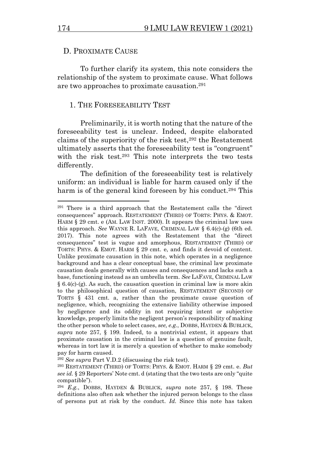#### D. PROXIMATE CAUSE

To further clarify its system, this note considers the relationship of the system to proximate cause. What follows are two approaches to proximate causation.<sup>291</sup>

#### 1. THE FORESEEABILITY TEST

Preliminarily, it is worth noting that the nature of the foreseeability test is unclear. Indeed, despite elaborated claims of the superiority of the risk test, <sup>292</sup> the Restatement ultimately asserts that the foreseeability test is "congruent" with the risk test.<sup>293</sup> This note interprets the two tests differently.

The definition of the foreseeability test is relatively uniform: an individual is liable for harm caused only if the harm is of the general kind foreseen by his conduct.<sup>294</sup> This

<sup>291</sup> There is a third approach that the Restatement calls the "direct consequences" approach. RESTATEMENT (THIRD) OF TORTS: PHYS. & EMOT. HARM § 29 cmt. e (AM. LAW INST. 2000). It appears the criminal law uses this approach. *See* WAYNE R. LAFAVE, CRIMINAL LAW § 6.4(c)-(g) (6th ed. 2017). This note agrees with the Restatement that the "direct consequences" test is vague and amorphous, RESTATEMENT (THIRD) OF TORTS: PHYS. & EMOT. HARM § 29 cmt. e, and finds it devoid of content. Unlike proximate causation in this note, which operates in a negligence background and has a clear conceptual base, the criminal law proximate causation deals generally with causes and consequences and lacks such a base, functioning instead as an umbrella term. *See* LAFAVE, CRIMINAL LAW  $§ 6.4(c)$  $(g)$ . As such, the causation question in criminal law is more akin to the philosophical question of causation, RESTATEMENT (SECOND) OF TORTS § 431 cmt. a, rather than the proximate cause question of negligence, which, recognizing the extensive liability otherwise imposed by negligence and its oddity in not requiring intent or subjective knowledge, properly limits the negligent person's responsibility of making the other person whole to select cases, *see, e.g.*, DOBBS, HAYDEN & BUBLICK, *supra* note 257, § 199. Indeed, to a nontrivial extent, it appears that proximate causation in the criminal law is a question of genuine fault, whereas in tort law it is merely a question of whether to make somebody pay for harm caused.

<sup>292</sup> *See supra* Part V.D.2 (discussing the risk test).

<sup>293</sup> RESTATEMENT (THIRD) OF TORTS: PHYS. & EMOT. HARM § 29 cmt. e. *But see id.* § 29 Reporters' Note cmt. d (stating that the two tests are only "quite compatible").

<sup>294</sup> *E.g.*, DOBBS, HAYDEN & BUBLICK, *supra* note 257, § 198. These definitions also often ask whether the injured person belongs to the class of persons put at risk by the conduct. *Id.* Since this note has taken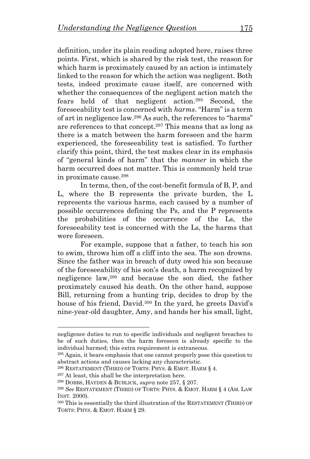definition, under its plain reading adopted here, raises three points. First, which is shared by the risk test, the reason for which harm is proximately caused by an action is intimately linked to the reason for which the action was negligent. Both tests, indeed proximate cause itself, are concerned with whether the consequences of the negligent action match the fears held of that negligent action.<sup>295</sup> Second, the foreseeability test is concerned with *harms*. "Harm" is a term of art in negligence law. <sup>296</sup> As such, the references to "harms" are references to that concept.<sup>297</sup> This means that as long as there is a match between the harm foreseen and the harm experienced, the foreseeability test is satisfied. To further clarify this point, third, the test makes clear in its emphasis of "general kinds of harm" that the *manner* in which the harm occurred does not matter. This is commonly held true in proximate cause.<sup>298</sup>

In terms, then, of the cost-benefit formula of B, P, and L, where the B represents the private burden, the L represents the various harms, each caused by a number of possible occurrences defining the Ps, and the P represents the probabilities of the occurrence of the Ls, the foreseeability test is concerned with the Ls, the harms that were foreseen.

For example, suppose that a father, to teach his son to swim, throws him off a cliff into the sea. The son drowns. Since the father was in breach of duty owed his son because of the foreseeability of his son's death, a harm recognized by negligence law,<sup>299</sup> and because the son died, the father proximately caused his death. On the other hand, suppose Bill, returning from a hunting trip, decides to drop by the house of his friend, David.<sup>300</sup> In the yard, he greets David's nine-year-old daughter, Amy, and hands her his small, light,

negligence duties to run to specific individuals and negligent breaches to be of such duties, then the harm foreseen is already specific to the individual harmed; this extra requirement is extraneous.

<sup>295</sup> Again, it bears emphasis that one cannot properly pose this question to abstract actions and causes lacking any characteristic.

<sup>&</sup>lt;sup>296</sup> RESTATEMENT (THIRD) OF TORTS: PHYS.  $&$  EMOT. HARM  $\S$  4.

<sup>297</sup> At least, this shall be the interpretation here.

<sup>298</sup> DOBBS, HAYDEN & BUBLICK, *supra* note 257, § 207.

<sup>299</sup> *See* RESTATEMENT (THIRD) OF TORTS: PHYS. & EMOT. HARM § 4 (AM. LAW INST. 2000).

<sup>300</sup> This is essentially the third illustration of the RESTATEMENT (THIRD) OF TORTS: PHYS. & EMOT. HARM § 29.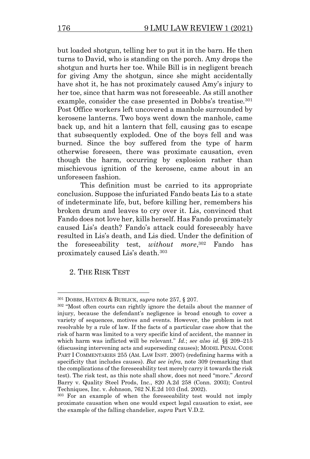but loaded shotgun, telling her to put it in the barn. He then turns to David, who is standing on the porch. Amy drops the shotgun and hurts her toe. While Bill is in negligent breach for giving Amy the shotgun, since she might accidentally have shot it, he has not proximately caused Amy's injury to her toe, since that harm was not foreseeable. As still another example, consider the case presented in Dobbs's treatise.<sup>301</sup> Post Office workers left uncovered a manhole surrounded by kerosene lanterns. Two boys went down the manhole, came back up, and hit a lantern that fell, causing gas to escape that subsequently exploded. One of the boys fell and was burned. Since the boy suffered from the type of harm otherwise foreseen, there was proximate causation, even though the harm, occurring by explosion rather than mischievous ignition of the kerosene, came about in an unforeseen fashion.

This definition must be carried to its appropriate conclusion. Suppose the infuriated Fando beats Lis to a state of indeterminate life, but, before killing her, remembers his broken drum and leaves to cry over it. Lis, convinced that Fando does not love her, kills herself. Has Fando proximately caused Lis's death? Fando's attack could foreseeably have resulted in Lis's death, and Lis died. Under the definition of the foreseeability test, *without more*, <sup>302</sup> Fando has proximately caused Lis's death.<sup>303</sup>

2. THE RISK TEST

<sup>301</sup> DOBBS, HAYDEN & BUBLICK, *supra* note 257, § 207.

<sup>302</sup> "Most often courts can rightly ignore the details about the manner of injury, because the defendant's negligence is broad enough to cover a variety of sequences, motives and events. However, the problem is not resolvable by a rule of law. If the facts of a particular case show that the risk of harm was limited to a very specific kind of accident, the manner in which harm was inflicted will be relevant." *Id.*; *see also id.* §§ 209–215 (discussing intervening acts and superseding causes); MODEL PENAL CODE PART I COMMENTARIES 255 (AM. LAW INST. 2007) (redefining harms with a specificity that includes causes). *But see infra*, note 309 (remarking that the complications of the foreseeability test merely carry it towards the risk test). The risk test, as this note shall show, does not need "more." *Accord* Barry v. Quality Steel Prods, Inc., 820 A.2d 258 (Conn. 2003); Control Techniques, Inc. v. Johnson, 762 N.E.2d 103 (Ind. 2002).

<sup>303</sup> For an example of when the foreseeability test would not imply proximate causation when one would expect legal causation to exist, see the example of the falling chandelier, *supra* Part V.D.2.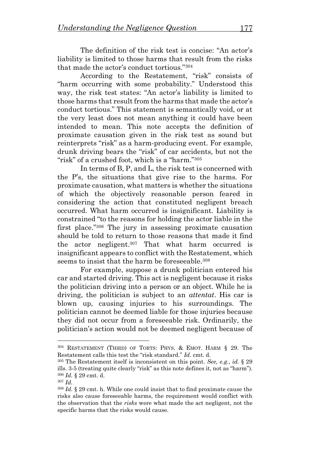The definition of the risk test is concise: "An actor's liability is limited to those harms that result from the risks that made the actor's conduct tortious."<sup>304</sup>

According to the Restatement, "risk" consists of "harm occurring with some probability." Understood this way, the risk test states: "An actor's liability is limited to those harms that result from the harms that made the actor's conduct tortious." This statement is semantically void, or at the very least does not mean anything it could have been intended to mean. This note accepts the definition of proximate causation given in the risk test as sound but reinterprets "risk" as a harm-producing event. For example, drunk driving bears the "risk" of car accidents, but not the "risk" of a crushed foot, which is a "harm."<sup>305</sup>

In terms of B, P, and L, the risk test is concerned with the P's, the situations that give rise to the harms. For proximate causation, what matters is whether the situations of which the objectively reasonable person feared in considering the action that constituted negligent breach occurred. What harm occurred is insignificant. Liability is constrained "to the reasons for holding the actor liable in the first place."<sup>306</sup> The jury in assessing proximate causation should be told to return to those reasons that made it find the actor negligent.<sup>307</sup> That what harm occurred is insignificant appears to conflict with the Restatement, which seems to insist that the harm be foreseeable.<sup>308</sup>

For example, suppose a drunk politician entered his car and started driving. This act is negligent because it risks the politician driving into a person or an object. While he is driving, the politician is subject to an *attentat*. His car is blown up, causing injuries to his surroundings. The politician cannot be deemed liable for those injuries because they did not occur from a foreseeable risk. Ordinarily, the politician's action would not be deemed negligent because of

<sup>304</sup> RESTATEMENT (THIRD) OF TORTS: PHYS. & EMOT. HARM § 29. The Restatement calls this test the "risk standard." *Id.* cmt. d.

<sup>305</sup> The Restatement itself is inconsistent on this point. *See, e.g.*, *id.* § 29 ills. 3-5 (treating quite clearly "risk" as this note defines it, not as "harm"). <sup>306</sup> *Id.* § 29 cmt. d.

<sup>307</sup> *Id.*

<sup>308</sup> *Id.* § 29 cmt. h. While one could insist that to find proximate cause the risks also cause foreseeable harms, the requirement would conflict with the observation that the *risks* were what made the act negligent, not the specific harms that the risks would cause.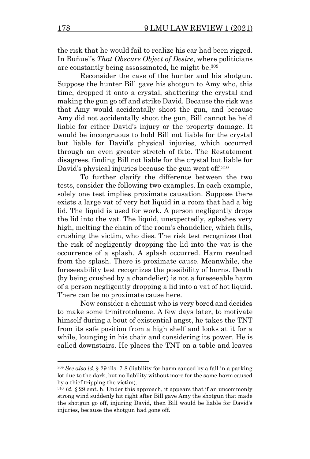the risk that he would fail to realize his car had been rigged. In Buñuel's *That Obscure Object of Desire*, where politicians are constantly being assassinated, he might be.<sup>309</sup>

Reconsider the case of the hunter and his shotgun. Suppose the hunter Bill gave his shotgun to Amy who, this time, dropped it onto a crystal, shattering the crystal and making the gun go off and strike David. Because the risk was that Amy would accidentally shoot the gun, and because Amy did not accidentally shoot the gun, Bill cannot be held liable for either David's injury or the property damage. It would be incongruous to hold Bill not liable for the crystal but liable for David's physical injuries, which occurred through an even greater stretch of fate. The Restatement disagrees, finding Bill not liable for the crystal but liable for David's physical injuries because the gun went off.<sup>310</sup>

To further clarify the difference between the two tests, consider the following two examples. In each example, solely one test implies proximate causation. Suppose there exists a large vat of very hot liquid in a room that had a big lid. The liquid is used for work. A person negligently drops the lid into the vat. The liquid, unexpectedly, splashes very high, melting the chain of the room's chandelier, which falls, crushing the victim, who dies. The risk test recognizes that the risk of negligently dropping the lid into the vat is the occurrence of a splash. A splash occurred. Harm resulted from the splash. There is proximate cause. Meanwhile, the foreseeability test recognizes the possibility of burns. Death (by being crushed by a chandelier) is not a foreseeable harm of a person negligently dropping a lid into a vat of hot liquid. There can be no proximate cause here.

Now consider a chemist who is very bored and decides to make some trinitrotoluene. A few days later, to motivate himself during a bout of existential angst, he takes the TNT from its safe position from a high shelf and looks at it for a while, lounging in his chair and considering its power. He is called downstairs. He places the TNT on a table and leaves

<sup>309</sup> *See also id.* § 29 ills. 7-8 (liability for harm caused by a fall in a parking lot due to the dark, but no liability without more for the same harm caused by a thief tripping the victim).

<sup>310</sup> *Id.* § 29 cmt. h. Under this approach, it appears that if an uncommonly strong wind suddenly hit right after Bill gave Amy the shotgun that made the shotgun go off, injuring David, then Bill would be liable for David's injuries, because the shotgun had gone off.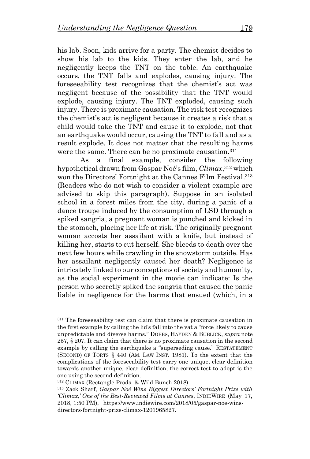his lab. Soon, kids arrive for a party. The chemist decides to show his lab to the kids. They enter the lab, and he negligently keeps the TNT on the table. An earthquake occurs, the TNT falls and explodes, causing injury. The foreseeability test recognizes that the chemist's act was negligent because of the possibility that the TNT would explode, causing injury. The TNT exploded, causing such injury. There is proximate causation. The risk test recognizes the chemist's act is negligent because it creates a risk that a child would take the TNT and cause it to explode, not that an earthquake would occur, causing the TNT to fall and as a result explode. It does not matter that the resulting harms were the same. There can be no proximate causation.<sup>311</sup>

As a final example, consider the following hypothetical drawn from Gaspar Noé's film, *Climax*, <sup>312</sup> which won the Directors' Fortnight at the Cannes Film Festival. 313 (Readers who do not wish to consider a violent example are advised to skip this paragraph). Suppose in an isolated school in a forest miles from the city, during a panic of a dance troupe induced by the consumption of LSD through a spiked sangria, a pregnant woman is punched and kicked in the stomach, placing her life at risk. The originally pregnant woman accosts her assailant with a knife, but instead of killing her, starts to cut herself. She bleeds to death over the next few hours while crawling in the snowstorm outside. Has her assailant negligently caused her death? Negligence is intricately linked to our conceptions of society and humanity, as the social experiment in the movie can indicate: Is the person who secretly spiked the sangria that caused the panic liable in negligence for the harms that ensued (which, in a

<sup>&</sup>lt;sup>311</sup> The foreseeability test can claim that there is proximate causation in the first example by calling the lid's fall into the vat a "force likely to cause unpredictable and diverse harms." DOBBS, HAYDEN & BUBLICK, *supra* note 257, § 207. It can claim that there is no proximate causation in the second example by calling the earthquake a "superseding cause." RESTATEMENT (SECOND) OF TORTS § 440 (AM. LAW INST. 1981). To the extent that the complications of the foreseeability test carry one unique, clear definition towards another unique, clear definition, the correct test to adopt is the one using the second definition.

<sup>312</sup> CLIMAX (Rectangle Prods. & Wild Bunch 2018).

<sup>313</sup> Zack Sharf, *Gaspar Noé Wins Biggest Directors' Fortnight Prize with 'Climax,' One of the Best-Reviewed Films at Cannes*, INDIEWIRE (May 17, 2018, 1:50 PM), https://www.indiewire.com/2018/05/gaspar-noe-winsdirectors-fortnight-prize-climax-1201965827.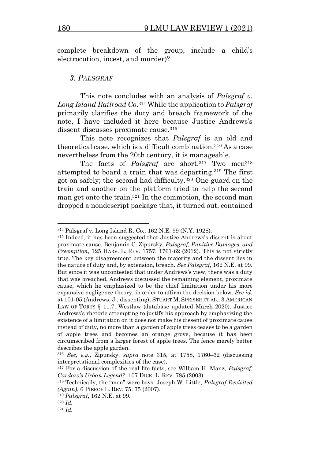complete breakdown of the group, include a child's electrocution, incest, and murder)?

#### *3. PALSGRAF*

This note concludes with an analysis of *Palsgraf v. Long Island Railroad Co*. <sup>314</sup> While the application to *Palsgraf* primarily clarifies the duty and breach framework of the note, I have included it here because Justice Andrews's dissent discusses proximate cause.<sup>315</sup>

This note recognizes that *Palsgraf* is an old and theoretical case, which is a difficult combination.<sup>316</sup> As a case nevertheless from the 20th century, it is manageable.

The facts of *Palsgraf* are short.<sup>317</sup> Two men<sup>318</sup> attempted to board a train that was departing.<sup>319</sup> The first got on safely; the second had difficulty.<sup>320</sup> One guard on the train and another on the platform tried to help the second man get onto the train.<sup>321</sup> In the commotion, the second man dropped a nondescript package that, it turned out, contained

<sup>314</sup> Palsgraf v. Long Island R. Co., 162 N.E. 99 (N.Y. 1928).

<sup>315</sup> Indeed, it has been suggested that Justice Andrews's dissent is about proximate cause. Benjamin C. Zipursky, *Palsgraf, Punitive Damages, and Preemption*, 125 HARV. L. REV. 1757, 1761-62 (2012). This is not strictly true. The key disagreement between the majority and the dissent lies in the nature of duty and, by extension, breach. *See Palsgraf*, 162 N.E. at 99. But since it was uncontested that under Andrews's view, there was a duty that was breached, Andrews discussed the remaining element, proximate cause, which he emphasized to be the chief limitation under his more expansive negligence theory, in order to affirm the decision below. *See id.* at 101-05 (Andrews, J., dissenting); STUART M. SPEISER ET AL., 3 AMERICAN LAW OF TORTS § 11.7, Westlaw (database updated March 2020). Justice Andrews's rhetoric attempting to justify his approach by emphasizing the existence of a limitation on it does not make his dissent of proximate cause instead of duty, no more than a garden of apple trees ceases to be a garden of apple trees and becomes an orange grove, because it has been circumscribed from a larger forest of apple trees. The fence merely better describes the apple garden.

<sup>316</sup> *See, e.g.*, Zipursky, *supra* note 315, at 1758, 1760–62 (discussing interpretational complexities of the case).

<sup>317</sup> For a discussion of the real-life facts, see William H. Manz, *Palsgraf: Cardozo's Urban Legend?*, 107 DICK. L. REV. 785 (2003).

<sup>318</sup> Technically, the "men" were boys. Joseph W. Little, *Palsgraf Revisited (Again)*, 6 PIERCE L. REV. 75, 75 (2007).

<sup>319</sup> *Palsgraf*, 162 N.E. at 99.

<sup>320</sup> *Id.*

<sup>321</sup> *Id.*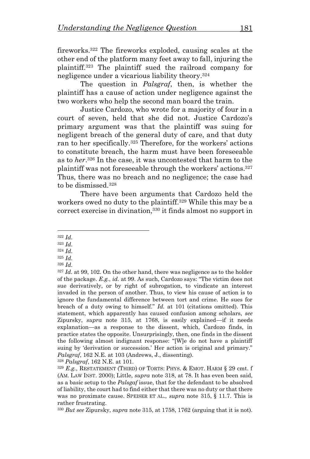fireworks.<sup>322</sup> The fireworks exploded, causing scales at the other end of the platform many feet away to fall, injuring the plaintiff.<sup>323</sup> The plaintiff sued the railroad company for negligence under a vicarious liability theory.<sup>324</sup>

The question in *Palsgraf*, then, is whether the plaintiff has a cause of action under negligence against the two workers who help the second man board the train.

Justice Cardozo, who wrote for a majority of four in a court of seven, held that she did not. Justice Cardozo's primary argument was that the plaintiff was suing for negligent breach of the general duty of care, and that duty ran to her specifically.<sup>325</sup> Therefore, for the workers' actions to constitute breach, the harm must have been foreseeable as to *her*. <sup>326</sup> In the case, it was uncontested that harm to the plaintiff was not foreseeable through the workers' actions.<sup>327</sup> Thus, there was no breach and no negligence; the case had to be dismissed.<sup>328</sup>

There have been arguments that Cardozo held the workers owed no duty to the plaintiff.<sup>329</sup> While this may be a correct exercise in divination,<sup>330</sup> it finds almost no support in

<sup>322</sup> *Id.*

<sup>323</sup> *Id.*

<sup>324</sup> *Id.* <sup>325</sup> *Id.*

<sup>326</sup> *Id.*

<sup>328</sup> *Palsgraf*, 162 N.E. at 101.

<sup>330</sup> *But see* Zipursky, *supra* note 315, at 1758, 1762 (arguing that it is not).

<sup>327</sup> *Id.* at 99, 102. On the other hand, there was negligence as to the holder of the package. *E.g.*, *id.* at 99. As such, Cardozo says: "The victim does not sue derivatively, or by right of subrogation, to vindicate an interest invaded in the person of another. Thus, to view his cause of action is to ignore the fundamental difference between tort and crime. He sues for breach of a duty owing to himself." *Id.* at 101 (citations omitted). This statement, which apparently has caused confusion among scholars, *see* Zipursky, *supra* note 315, at 1768, is easily explained—if it needs explanation—as a response to the dissent, which, Cardozo finds, in practice states the opposite. Unsurprisingly, then, one finds in the dissent the following almost indignant response: "[W]e do not have a plaintiff suing by 'derivation or succession.' Her action is original and primary." *Palsgraf*, 162 N.E. at 103 (Andrews, J., dissenting).

<sup>329</sup> *E.g.*, RESTATEMENT (THIRD) OF TORTS: PHYS. & EMOT. HARM § 29 cmt. f (AM. LAW INST. 2000); Little, *supra* note 318, at 78. It has even been said, as a basic setup to the *Palsgaf* issue, that for the defendant to be absolved of liability, the court had to find either that there was no duty or that there was no proximate cause. SPEISER ET AL., *supra* note 315, § 11.7. This is rather frustrating.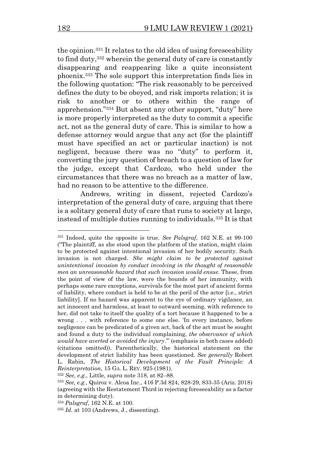the opinion.<sup>331</sup> It relates to the old idea of using foreseeability to find duty,<sup>332</sup> wherein the general duty of care is constantly disappearing and reappearing like a quite inconsistent phoenix.<sup>333</sup> The sole support this interpretation finds lies in the following quotation: "The risk reasonably to be perceived defines the duty to be obeyed, and risk imports relation; it is risk to another or to others within the range of apprehension."<sup>334</sup> But absent any other support, "duty" here is more properly interpreted as the duty to commit a specific act, not as the general duty of care. This is similar to how a defense attorney would argue that any act (for the plaintiff must have specified an act or particular inaction) is not negligent, because there was no "duty" to perform it, converting the jury question of breach to a question of law for the judge, except that Cardozo, who held under the circumstances that there was no breach as a matter of law, had no reason to be attentive to the difference.

Andrews, writing in dissent, rejected Cardozo's interpretation of the general duty of care, arguing that there is a solitary general duty of care that runs to society at large, instead of multiple duties running to individuals.<sup>335</sup> It is that

<sup>331</sup> Indeed, quite the opposite is true. *See Palsgraf*, 162 N.E. at 99-100 ("The plaintiff, as she stood upon the platform of the station, might claim to be protected against intentional invasion of her bodily security. Such invasion is not charged. *She might claim to be protected against unintentional invasion by conduct involving in the thought of reasonable men an unreasonable hazard that such invasion would ensue.* These, from the point of view of the law, were the bounds of her immunity, with perhaps some rare exceptions, survivals for the most part of ancient forms of liability, where conduct is held to be at the peril of the actor [i.e., strict liability]. If no hazard was apparent to the eye of ordinary vigilance, an act innocent and harmless, at least to outward seeming, with reference to her, did not take to itself the quality of a tort because it happened to be a wrong . . . with reference to some one else. 'In every instance, before negligence can be predicated of a given act, back of the act must be sought and found a duty to the individual complaining, *the observance of which would have averted or avoided the injury*.'" (emphasis in both cases added) (citations omitted)). Parenthetically, the historical statement on the development of strict liability has been questioned. *See generally* Robert L. Rabin, *The Historical Development of the Fault Principle: A Reinterpretation*, 15 GA. L. REV. 925 (1981).

<sup>332</sup> *See, e.g.*, Little, *supra* note 318, at 82–88.

<sup>333</sup> *See, e.g.*, Quiroz v. Alcoa Inc., 416 P.3d 824, 828-29, 833-35 (Ariz. 2018) (agreeing with the Restatement Third in rejecting foreseeability as a factor in determining duty).

<sup>334</sup> *Palsgraf*, 162 N.E. at 100.

<sup>335</sup> *Id.* at 103 (Andrews, J., dissenting).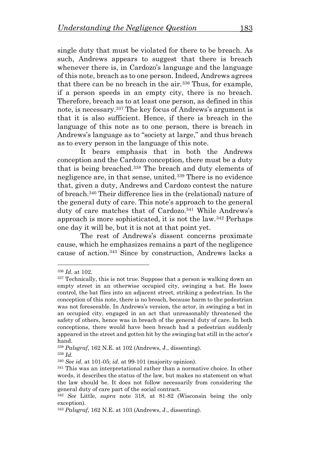single duty that must be violated for there to be breach. As such, Andrews appears to suggest that there is breach whenever there is, in Cardozo's language and the language of this note, breach as to one person. Indeed, Andrews agrees that there can be no breach in the air.<sup>336</sup> Thus, for example, if a person speeds in an empty city, there is no breach. Therefore, breach as to at least one person, as defined in this note, is necessary.<sup>337</sup> The key focus of Andrews's argument is that it is also sufficient. Hence, if there is breach in the language of this note as to one person, there is breach in Andrews's language as to "society at large," and thus breach as to every person in the language of this note.

It bears emphasis that in both the Andrews conception and the Cardozo conception, there must be a duty that is being breached.<sup>338</sup> The breach and duty elements of negligence are, in that sense, united.<sup>339</sup> There is no evidence that, given a duty, Andrews and Cardozo contest the nature of breach.<sup>340</sup> Their difference lies in the (relational) nature of the general duty of care. This note's approach to the general duty of care matches that of Cardozo.<sup>341</sup> While Andrews's approach is more sophisticated, it is not the law.<sup>342</sup> Perhaps one day it will be, but it is not at that point yet.

The rest of Andrews's dissent concerns proximate cause, which he emphasizes remains a part of the negligence cause of action.<sup>343</sup> Since by construction, Andrews lacks a

<sup>336</sup> *Id.* at 102.

<sup>&</sup>lt;sup>337</sup> Technically, this is not true. Suppose that a person is walking down an empty street in an otherwise occupied city, swinging a bat. He loses control, the bat flies into an adjacent street, striking a pedestrian. In the conception of this note, there is no breach, because harm to the pedestrian was not foreseeable. In Andrews's version, the actor, in swinging a bat in an occupied city, engaged in an act that unreasonably threatened the safety of others, hence was in breach of the general duty of care. In both conceptions, there would have been breach had a pedestrian suddenly appeared in the street and gotten hit by the swinging bat still in the actor's hand.

<sup>338</sup> *Palsgraf*, 162 N.E. at 102 (Andrews, J., dissenting).

<sup>339</sup> *Id.*

<sup>340</sup> *See id.* at 101-05; *id.* at 99-101 (majority opinion).

<sup>341</sup> This was an interpretational rather than a normative choice. In other words, it describes the status of the law, but makes no statement on what the law should be. It does not follow necessarily from considering the general duty of care part of the social contract.

<sup>342</sup> *See* Little, *supra* note 318, at 81-82 (Wisconsin being the only exception).

<sup>343</sup> *Palsgraf*, 162 N.E. at 103 (Andrews, J., dissenting).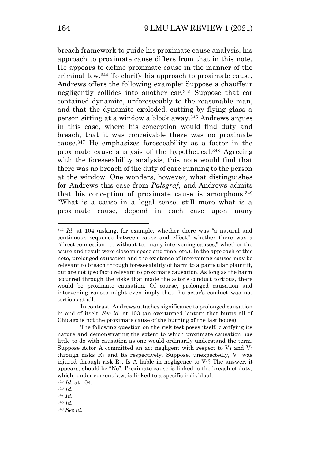breach framework to guide his proximate cause analysis, his approach to proximate cause differs from that in this note. He appears to define proximate cause in the manner of the criminal law.<sup>344</sup> To clarify his approach to proximate cause, Andrews offers the following example: Suppose a chauffeur negligently collides into another car.<sup>345</sup> Suppose that car contained dynamite, unforeseeably to the reasonable man, and that the dynamite exploded, cutting by flying glass a person sitting at a window a block away.<sup>346</sup> Andrews argues in this case, where his conception would find duty and breach, that it was conceivable there was no proximate cause.<sup>347</sup> He emphasizes foreseeability as a factor in the proximate cause analysis of the hypothetical.<sup>348</sup> Agreeing with the foreseeability analysis, this note would find that there was no breach of the duty of care running to the person at the window. One wonders, however, what distinguishes for Andrews this case from *Palsgraf*, and Andrews admits that his conception of proximate cause is amorphous.<sup>349</sup> "What is a cause in a legal sense, still more what is a proximate cause, depend in each case upon many

<sup>344</sup> *Id.* at 104 (asking, for example, whether there was "a natural and continuous sequence between cause and effect," whether there was a "direct connection . . . without too many intervening causes," whether the cause and result were close in space and time, etc.). In the approach of this note, prolonged causation and the existence of intervening causes may be relevant to breach through foreseeability of harm to a particular plaintiff, but are not ipso facto relevant to proximate causation. As long as the harm occurred through the risks that made the actor's conduct tortious, there would be proximate causation. Of course, prolonged causation and intervening causes might even imply that the actor's conduct was not tortious at all.

In contrast, Andrews attaches significance to prolonged causation in and of itself. *See id.* at 103 (an overturned lantern that burns all of Chicago is not the proximate cause of the burning of the last house).

The following question on the risk test poses itself, clarifying its nature and demonstrating the extent to which proximate causation has little to do with causation as one would ordinarily understand the term. Suppose Actor A committed an act negligent with respect to  $V_1$  and  $V_2$ through risks  $R_1$  and  $R_2$  respectively. Suppose, unexpectedly,  $V_1$  was injured through risk  $R_2$ . Is A liable in negligence to  $V_1$ ? The answer, it appears, should be "No": Proximate cause is linked to the breach of duty, which, under current law, is linked to a specific individual.

<sup>345</sup> *Id.* at 104.

<sup>346</sup> *Id.*

<sup>347</sup> *Id.*

<sup>348</sup> *Id.*

<sup>349</sup> *See id.*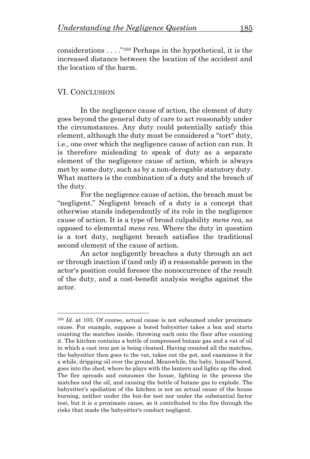considerations . . . ."<sup>350</sup> Perhaps in the hypothetical, it is the increased distance between the location of the accident and the location of the harm.

## VI. CONCLUSION

In the negligence cause of action, the element of duty goes beyond the general duty of care to act reasonably under the circumstances. Any duty could potentially satisfy this element, although the duty must be considered a "tort" duty, i.e., one over which the negligence cause of action can run. It is therefore misleading to speak of duty as a separate element of the negligence cause of action, which is always met by some duty, such as by a non-derogable statutory duty. What matters is the combination of a duty and the breach of the duty.

For the negligence cause of action, the breach must be "negligent." Negligent breach of a duty is a concept that otherwise stands independently of its role in the negligence cause of action. It is a type of broad culpability *mens rea*, as opposed to elemental *mens rea*. Where the duty in question is a tort duty, negligent breach satisfies the traditional second element of the cause of action.

An actor negligently breaches a duty through an act or through inaction if (and only if) a reasonable person in the actor's position could foresee the nonoccurrence of the result of the duty, and a cost-benefit analysis weighs against the actor.

<sup>350</sup> *Id.* at 103. Of course, actual cause is not subsumed under proximate cause. For example, suppose a bored babysitter takes a box and starts counting the matches inside, throwing each onto the floor after counting it. The kitchen contains a bottle of compressed butane gas and a vat of oil in which a cast iron pot is being cleaned. Having counted all the matches, the babysitter then goes to the vat, takes out the pot, and examines it for a while, dripping oil over the ground. Meanwhile, the baby, himself bored, goes into the shed, where he plays with the lantern and lights up the shed. The fire spreads and consumes the house, lighting in the process the matches and the oil, and causing the bottle of butane gas to explode. The babysitter's spoliation of the kitchen is not an actual cause of the house burning, neither under the but-for test nor under the substantial factor test, but it is a proximate cause, as it contributed to the fire through the risks that made the babysitter's conduct negligent.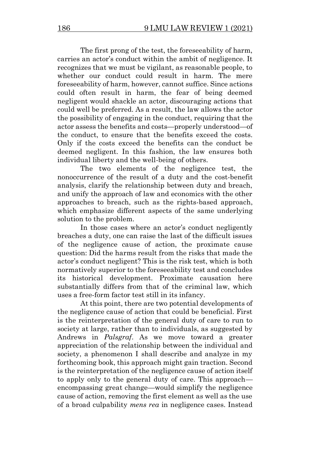The first prong of the test, the foreseeability of harm, carries an actor's conduct within the ambit of negligence. It recognizes that we must be vigilant, as reasonable people, to whether our conduct could result in harm. The mere foreseeability of harm, however, cannot suffice. Since actions could often result in harm, the fear of being deemed negligent would shackle an actor, discouraging actions that could well be preferred. As a result, the law allows the actor the possibility of engaging in the conduct, requiring that the actor assess the benefits and costs—properly understood—of the conduct, to ensure that the benefits exceed the costs. Only if the costs exceed the benefits can the conduct be deemed negligent. In this fashion, the law ensures both individual liberty and the well-being of others.

The two elements of the negligence test, the nonoccurrence of the result of a duty and the cost-benefit analysis, clarify the relationship between duty and breach, and unify the approach of law and economics with the other approaches to breach, such as the rights-based approach, which emphasize different aspects of the same underlying solution to the problem.

In those cases where an actor's conduct negligently breaches a duty, one can raise the last of the difficult issues of the negligence cause of action, the proximate cause question: Did the harms result from the risks that made the actor's conduct negligent? This is the risk test, which is both normatively superior to the foreseeability test and concludes its historical development. Proximate causation here substantially differs from that of the criminal law, which uses a free-form factor test still in its infancy.

At this point, there are two potential developments of the negligence cause of action that could be beneficial. First is the reinterpretation of the general duty of care to run to society at large, rather than to individuals, as suggested by Andrews in *Palsgraf*. As we move toward a greater appreciation of the relationship between the individual and society, a phenomenon I shall describe and analyze in my forthcoming book, this approach might gain traction. Second is the reinterpretation of the negligence cause of action itself to apply only to the general duty of care. This approach encompassing great change—would simplify the negligence cause of action, removing the first element as well as the use of a broad culpability *mens rea* in negligence cases. Instead